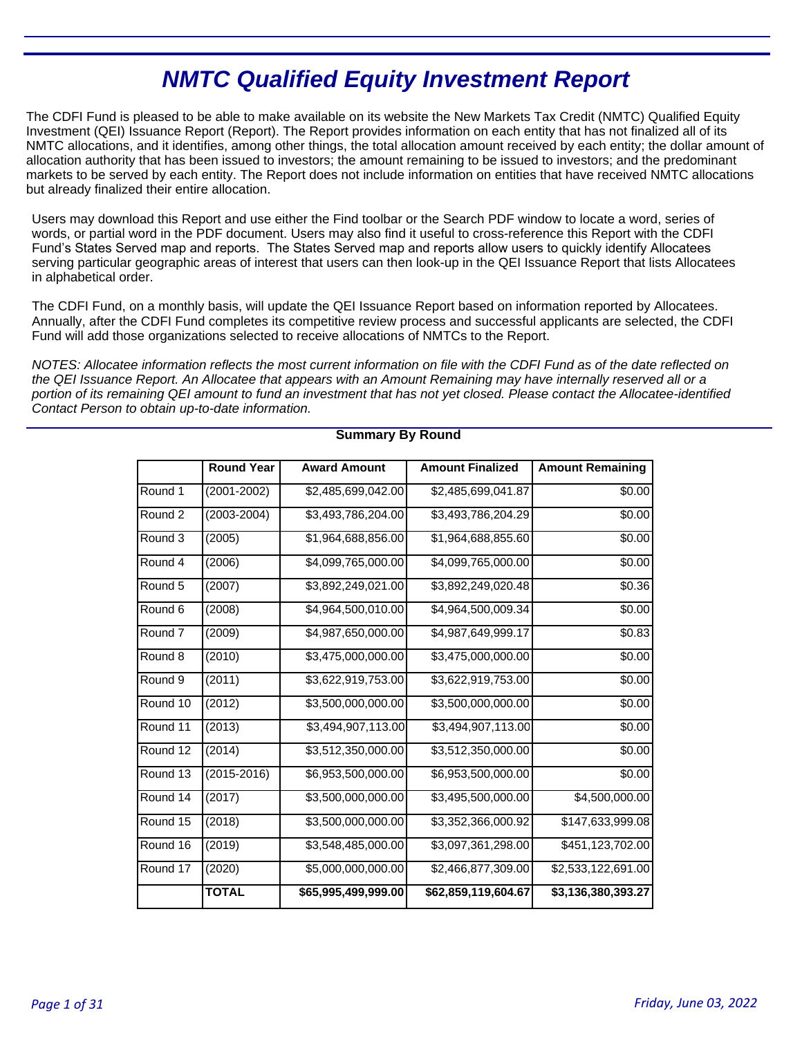# **NMTC Qualified Equity Investment Report**

The CDFI Fund is pleased to be able to make available on its website the New Markets Tax Credit (NMTC) Qualified Equity Investment (QEI) Issuance Report (Report). The Report provides information on each entity that has not finalized all of its NMTC allocations, and it identifies, among other things, the total allocation amount received by each entity; the dollar amount of allocation authority that has been issued to investors; the amount remaining to be issued to investors; and the predominant markets to be served by each entity. The Report does not include information on entities that have received NMTC allocations but already finalized their entire allocation.

Users may download this Report and use either the Find toolbar or the Search PDF window to locate a word, series of words, or partial word in the PDF document. Users may also find it useful to cross-reference this Report with the CDFI Fund's States Served map and reports. The States Served map and reports allow users to quickly identify Allocatees serving particular geographic areas of interest that users can then look-up in the QEI Issuance Report that lists Allocatees in alphabetical order.

The CDFI Fund, on a monthly basis, will update the QEI Issuance Report based on information reported by Allocatees. Annually, after the CDFI Fund completes its competitive review process and successful applicants are selected, the CDFI Fund will add those organizations selected to receive allocations of NMTCs to the Report.

NOTES: Allocatee information reflects the most current information on file with the CDFI Fund as of the date reflected on the QEI Issuance Report. An Allocatee that appears with an Amount Remaining may have internally reserved all or a portion of its remaining QEI amount to fund an investment that has not yet closed. Please contact the Allocatee-identified Contact Person to obtain up-to-date information.

|                    | <b>Round Year</b> | <b>Award Amount</b> | <b>Amount Finalized</b> | <b>Amount Remaining</b> |
|--------------------|-------------------|---------------------|-------------------------|-------------------------|
| Round 1            | (2001-2002)       | \$2,485,699,042.00  | \$2,485,699,041.87      | \$0.00                  |
| Round 2            | $(2003 - 2004)$   | \$3,493,786,204.00  | \$3,493,786,204.29      | \$0.00                  |
| Round 3            | (2005)            | \$1,964,688,856.00  | \$1,964,688,855.60      | \$0.00                  |
| Round 4            | (2006)            | \$4,099,765,000.00  | \$4,099,765,000.00      | \$0.00                  |
| Round 5            | (2007)            | \$3,892,249,021.00  | \$3,892,249,020.48      | \$0.36                  |
| Round <sub>6</sub> | (2008)            | \$4,964,500,010.00  | \$4,964,500,009.34      | \$0.00                  |
| Round 7            | (2009)            | \$4,987,650,000.00  | \$4,987,649,999.17      | \$0.83                  |
| Round 8            | (2010)            | \$3,475,000,000.00  | \$3,475,000,000.00      | \$0.00                  |
| Round <sub>9</sub> | (2011)            | \$3,622,919,753.00  | \$3,622,919,753.00      | \$0.00                  |
| Round 10           | (2012)            | \$3,500,000,000.00  | \$3,500,000,000.00      | \$0.00                  |
| Round 11           | (2013)            | \$3,494,907,113.00  | \$3,494,907,113.00      | \$0.00                  |
| Round 12           | (2014)            | \$3,512,350,000.00  | \$3,512,350,000.00      | \$0.00                  |
| Round 13           | (2015-2016)       | \$6,953,500,000.00  | \$6,953,500,000.00      | \$0.00                  |
| Round 14           | (2017)            | \$3,500,000,000.00  | \$3,495,500,000.00      | \$4,500,000.00          |
| Round 15           | (2018)            | \$3,500,000,000.00  | \$3,352,366,000.92      | \$147,633,999.08        |
| Round 16           | (2019)            | \$3,548,485,000.00  | \$3,097,361,298.00      | \$451,123,702.00        |
| Round 17           | (2020)            | \$5,000,000,000.00  | \$2,466,877,309.00      | \$2,533,122,691.00      |
|                    | <b>TOTAL</b>      | \$65,995,499,999.00 | \$62,859,119,604.67     | \$3,136,380,393.27      |

# **Summary By Round**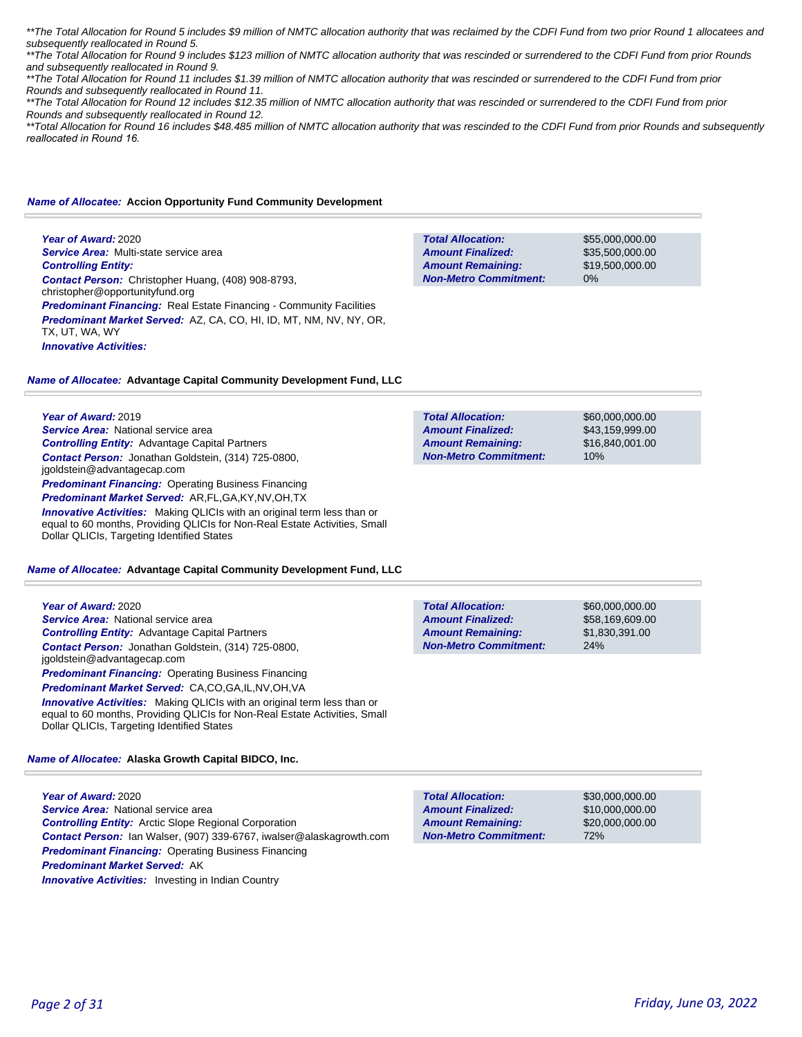\*\*The Total Allocation for Round 5 includes \$9 million of NMTC allocation authority that was reclaimed by the CDFI Fund from two prior Round 1 allocatees and subsequently reallocated in Round 5.

\*\*The Total Allocation for Round 9 includes \$123 million of NMTC allocation authority that was rescinded or surrendered to the CDFI Fund from prior Rounds and subsequently reallocated in Round 9.

\*\*The Total Allocation for Round 11 includes \$1.39 million of NMTC allocation authority that was rescinded or surrendered to the CDFI Fund from prior Rounds and subsequently reallocated in Round 11.

\*\*The Total Allocation for Round 12 includes \$12.35 million of NMTC allocation authority that was rescinded or surrendered to the CDFI Fund from prior Rounds and subsequently reallocated in Round 12.

\*\*Total Allocation for Round 16 includes \$48.485 million of NMTC allocation authority that was rescinded to the CDFI Fund from prior Rounds and subsequently *reallocated in Round 16.* 

#### *Name of Allocatee:* **Accion Opportunity Fund Community Development**

**Year of Award:** 2020 *Service Area:* Multi-state service area *Controlling Entity: Contact Person:* Christopher Huang, (408) 908-8793, christopher@opportunityfund.org **Predominant Financing:** Real Estate Financing - Community Facilities *Predominant Market Served:* AZ, CA, CO, HI, ID, MT, NM, NV, NY, OR, TX, UT, WA, WY *Innovative Activities:* 

**Total Allocation: Non-Metro Commitment: Amount Remaining: Amount Finalized:**

**Total Allocation:**

**Non-Metro Commitment: Amount Remaining: Amount Finalized:**

\$55,000,000.00 \$35,500,000.00 \$19,500,000.00 0%

\$60,000,000.00 \$43,159,999.00 \$16,840,001.00

10%

## *Name of Allocatee:* **Advantage Capital Community Development Fund, LLC**

**Year of Award:** 2019

*Service Area:* National service area *Controlling Entity:* Advantage Capital Partners *Contact Person:* Jonathan Goldstein, (314) 725-0800, jgoldstein@advantagecap.com **Predominant Financing: Operating Business Financing** *Predominant Market Served:* AR,FL,GA,KY,NV,OH,TX *Innovative Activities:* Making QLICIs with an original term less than or equal to 60 months, Providing QLICIs for Non-Real Estate Activities, Small Dollar QLICIs, Targeting Identified States

#### *Name of Allocatee:* **Advantage Capital Community Development Fund, LLC**

| Year of Award: 2020                                                            | <b>Total Allocation:</b>     | \$60,000,000,00 |
|--------------------------------------------------------------------------------|------------------------------|-----------------|
| <b>Service Area:</b> National service area                                     | <b>Amount Finalized:</b>     | \$58,169,609.00 |
| <b>Controlling Entity:</b> Advantage Capital Partners                          | <b>Amount Remaining:</b>     | \$1,830,391.00  |
| Contact Person: Jonathan Goldstein, (314) 725-0800.                            | <b>Non-Metro Commitment:</b> | 24%             |
| jgoldstein@advantagecap.com                                                    |                              |                 |
| <b>Predominant Financing: Operating Business Financing</b>                     |                              |                 |
| <b>Predominant Market Served: CA,CO,GA,IL,NV,OH,VA</b>                         |                              |                 |
| <b>Innovative Activities:</b> Making QLICIs with an original term less than or |                              |                 |
| equal to 60 months, Providing QLICIs for Non-Real Estate Activities, Small     |                              |                 |

*Name of Allocatee:* **Alaska Growth Capital BIDCO, Inc.**

Dollar QLICIs, Targeting Identified States

**Year of Award:** 2020 *Service Area:* National service area *Controlling Entity:* Arctic Slope Regional Corporation *Contact Person:* Ian Walser, (907) 339-6767, iwalser@alaskagrowth.com *Predominant Financing:* Operating Business Financing *Predominant Market Served:* AK **Innovative Activities:** Investing in Indian Country

**Total Allocation: Non-Metro Commitment: Amount Remaining: Amount Finalized:**

\$30,000,000.00 \$10,000,000.00 \$20,000,000.00 72%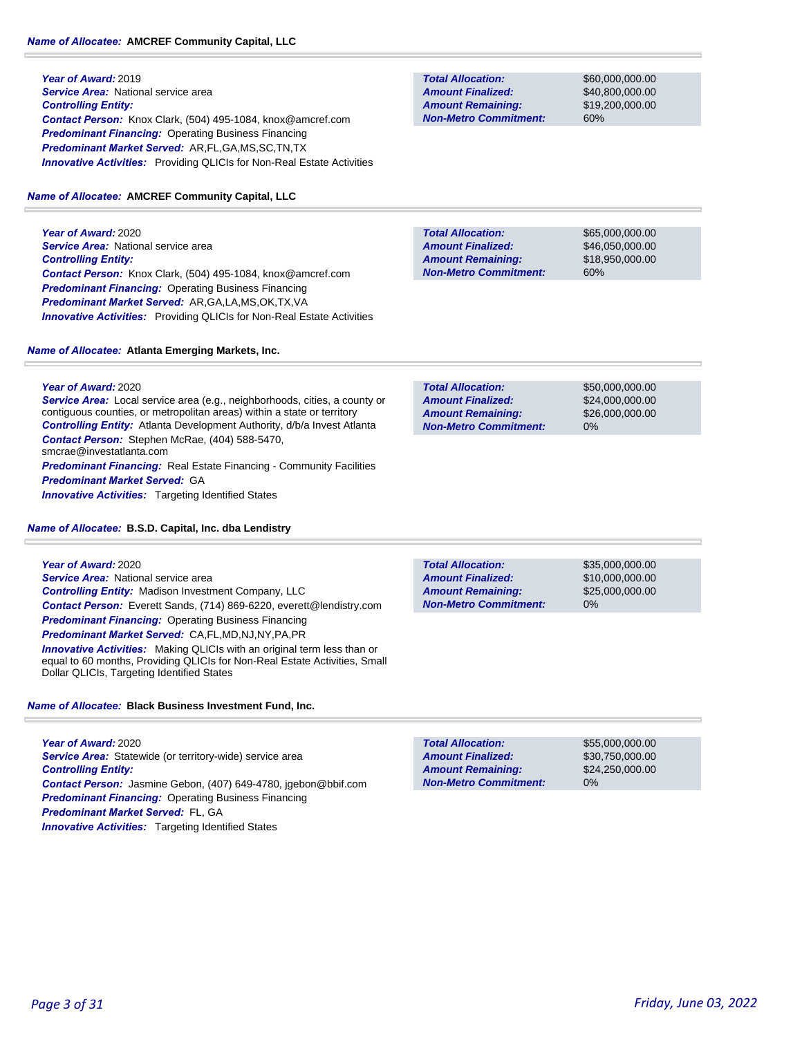# *Name of Allocatee:* **AMCREF Community Capital, LLC**

**Year of Award:** 2019 **Service Area:** National service area *Controlling Entity: Contact Person:* Knox Clark, (504) 495-1084, knox@amcref.com *Predominant Financing:* Operating Business Financing *Predominant Market Served:* AR,FL,GA,MS,SC,TN,TX **Innovative Activities:** Providing QLICIs for Non-Real Estate Activities

# *Name of Allocatee:* **AMCREF Community Capital, LLC**

**Year of Award:** 2020 **Service Area:** National service area *Controlling Entity: Contact Person:* Knox Clark, (504) 495-1084, knox@amcref.com *Predominant Financing:* Operating Business Financing *Predominant Market Served:* AR,GA,LA,MS,OK,TX,VA *Innovative Activities:* Providing QLICIs for Non-Real Estate Activities

# *Name of Allocatee:* **Atlanta Emerging Markets, Inc.**

**Year of Award:** 2020

**Service Area:** Local service area (e.g., neighborhoods, cities, a county or contiguous counties, or metropolitan areas) within a state or territory *Controlling Entity:* Atlanta Development Authority, d/b/a Invest Atlanta *Contact Person:* Stephen McRae, (404) 588-5470, smcrae@investatlanta.com **Predominant Financing:** Real Estate Financing - Community Facilities *Predominant Market Served:* GA **Innovative Activities:** Targeting Identified States

*Name of Allocatee:* **B.S.D. Capital, Inc. dba Lendistry**

| Year of Award: 2020                                                                                                                                          |
|--------------------------------------------------------------------------------------------------------------------------------------------------------------|
| Service Area: National service area                                                                                                                          |
| <b>Controlling Entity:</b> Madison Investment Company, LLC                                                                                                   |
| <b>Contact Person:</b> Everett Sands, (714) 869-6220, everett@lendistry.com                                                                                  |
| <b>Predominant Financing:</b> Operating Business Financing                                                                                                   |
| <b>Predominant Market Served: CA,FL,MD,NJ,NY,PA,PR</b>                                                                                                       |
| <b>Innovative Activities:</b> Making QLICIs with an original term less than or<br>equal to 60 months, Providing QLICIs for Non-Real Estate Activities, Small |

*Name of Allocatee:* **Black Business Investment Fund, Inc.**

Dollar QLICIs, Targeting Identified States

**Year of Award:** 2020 Service Area: Statewide (or territory-wide) service area *Controlling Entity: Contact Person:* Jasmine Gebon, (407) 649-4780, jgebon@bbif.com *Predominant Financing:* Operating Business Financing *Predominant Market Served:* FL, GA **Innovative Activities:** Targeting Identified States

**Total Allocation: Non-Metro Commitment: Amount Remaining: Amount Finalized:**

\$60,000,000.00 \$40,800,000.00 \$19,200,000.00 60%

**Total Allocation: Non-Metro Commitment: Amount Remaining: Amount Finalized:**

\$65,000,000.00 \$46,050,000.00 \$18,950,000.00 60%

\$50,000,000.00 \$24,000,000.00 \$26,000,000.00 0% **Total Allocation: Non-Metro Commitment: Amount Remaining: Amount Finalized:**

0% **Total Allocation: Non-Metro Commitment: Amount Remaining: Amount Finalized:**

\$35,000,000.00 \$10,000,000.00 \$25,000,000.00

\$55,000,000.00 \$30,750,000.00 \$24,250,000.00 0% **Total Allocation: Non-Metro Commitment: Amount Remaining: Amount Finalized:**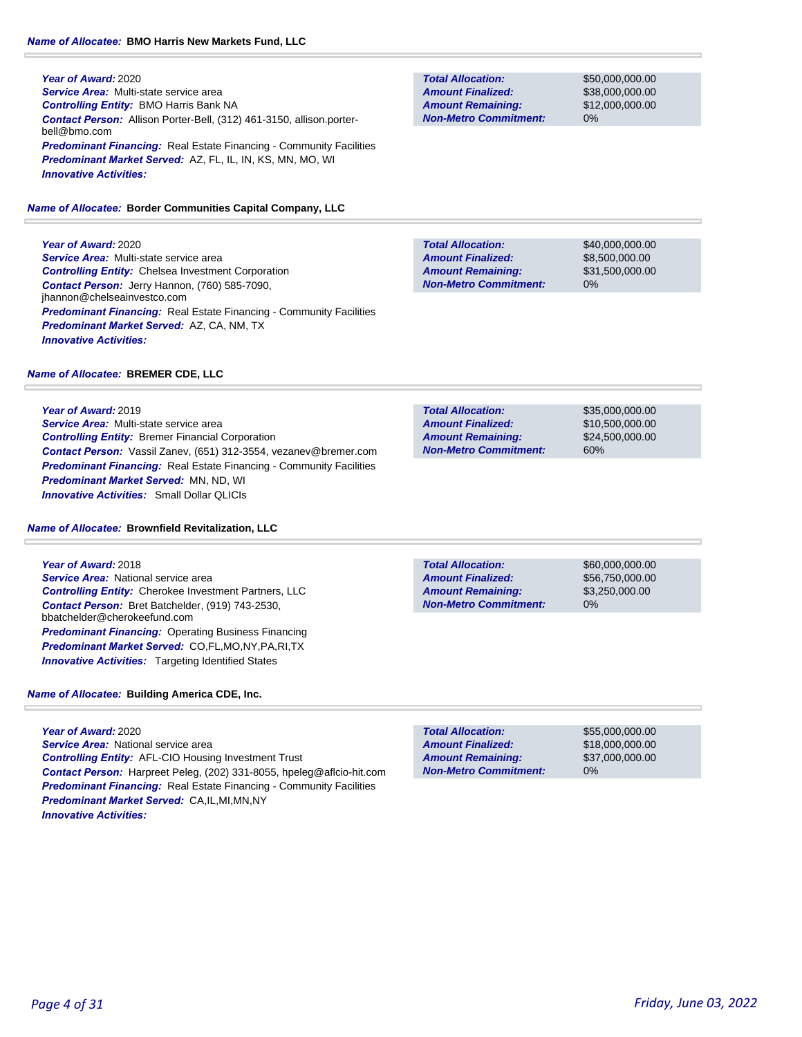# *Name of Allocatee:* **BMO Harris New Markets Fund, LLC**

## **Year of Award:** 2020 *Service Area:* Multi-state service area *Controlling Entity:* BMO Harris Bank NA *Contact Person:* Allison Porter-Bell, (312) 461-3150, allison.porterbell@bmo.com **Predominant Financing:** Real Estate Financing - Community Facilities *Predominant Market Served:* AZ, FL, IL, IN, KS, MN, MO, WI *Innovative Activities:*

*Name of Allocatee:* **Border Communities Capital Company, LLC**

**Year of Award:** 2020 *Service Area:* Multi-state service area *Controlling Entity:* Chelsea Investment Corporation *Contact Person:* Jerry Hannon, (760) 585-7090, jhannon@chelseainvestco.com **Predominant Financing:** Real Estate Financing - Community Facilities *Predominant Market Served:* AZ, CA, NM, TX *Innovative Activities:* 

# *Name of Allocatee:* **BREMER CDE, LLC**

**Year of Award:** 2019 *Service Area:* Multi-state service area *Controlling Entity:* Bremer Financial Corporation *Contact Person:* Vassil Zanev, (651) 312-3554, vezanev@bremer.com **Predominant Financing:** Real Estate Financing - Community Facilities *Predominant Market Served:* MN, ND, WI *Innovative Activities:* Small Dollar QLICIs

## *Name of Allocatee:* **Brownfield Revitalization, LLC**

**Year of Award:** 2018 *Service Area:* National service area *Controlling Entity:* Cherokee Investment Partners, LLC *Contact Person:* Bret Batchelder, (919) 743-2530, bbatchelder@cherokeefund.com **Predominant Financing: Operating Business Financing** *Predominant Market Served:* CO,FL,MO,NY,PA,RI,TX **Innovative Activities:** Targeting Identified States

*Name of Allocatee:* **Building America CDE, Inc.**

**Year of Award:** 2020 *Service Area:* National service area *Controlling Entity:* AFL-CIO Housing Investment Trust *Contact Person:* Harpreet Peleg, (202) 331-8055, hpeleg@aflcio-hit.com **Predominant Financing:** Real Estate Financing - Community Facilities *Predominant Market Served:* CA,IL,MI,MN,NY *Innovative Activities:* 

**Total Allocation: Non-Metro Commitment: Amount Remaining: Amount Finalized:**

\$50,000,000.00 \$38,000,000.00 \$12,000,000.00 0%

\$40,000,000.00 \$8,500,000.00 \$31,500,000.00 0% **Total Allocation: Non-Metro Commitment: Amount Remaining: Amount Finalized:**

**Total Allocation: Non-Metro Commitment: Amount Remaining: Amount Finalized:**

\$35,000,000.00 \$10,500,000.00 \$24,500,000.00 60%

**Total Allocation: Non-Metro Commitment: Amount Remaining: Amount Finalized:**

\$60,000,000.00 \$56,750,000.00 \$3,250,000.00 0%

\$55,000,000.00 \$18,000,000.00 \$37,000,000.00 0% **Total Allocation: Non-Metro Commitment: Amount Remaining: Amount Finalized:**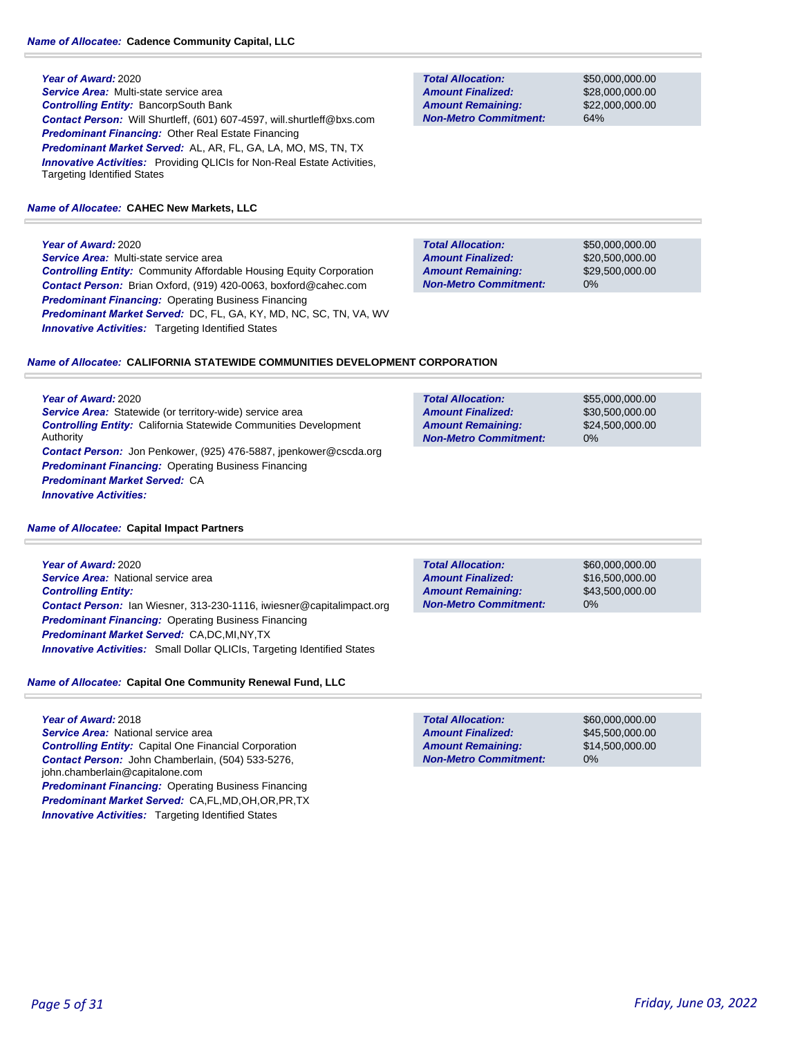# **Year of Award:** 2020

*Service Area:* Multi-state service area *Controlling Entity:* BancorpSouth Bank *Contact Person:* Will Shurtleff, (601) 607-4597, will.shurtleff@bxs.com *Predominant Financing:* Other Real Estate Financing *Predominant Market Served:* AL, AR, FL, GA, LA, MO, MS, TN, TX **Innovative Activities:** Providing QLICIs for Non-Real Estate Activities, Targeting Identified States

# *Name of Allocatee:* **CAHEC New Markets, LLC**

# **Year of Award:** 2020

*Service Area:* Multi-state service area *Controlling Entity:* Community Affordable Housing Equity Corporation *Contact Person:* Brian Oxford, (919) 420-0063, boxford@cahec.com *Predominant Financing:* Operating Business Financing *Predominant Market Served:* DC, FL, GA, KY, MD, NC, SC, TN, VA, WV **Innovative Activities:** Targeting Identified States

**Total Allocation: Non-Metro Commitment: Amount Remaining: Amount Finalized:**

**Total Allocation:**

**Non-Metro Commitment: Amount Remaining: Amount Finalized:**

\$50,000,000.00 \$28,000,000.00 \$22,000,000.00 64%

\$55,000,000.00 \$30,500,000.00 \$24,500,000.00

0%

\$50,000,000.00 \$20,500,000.00 \$29,500,000.00 0% **Total Allocation: Non-Metro Commitment: Amount Remaining: Amount Finalized:**

## *Name of Allocatee:* **CALIFORNIA STATEWIDE COMMUNITIES DEVELOPMENT CORPORATION**

**Year of Award:** 2020 **Service Area:** Statewide (or territory-wide) service area *Controlling Entity:* California Statewide Communities Development Authority *Contact Person:* Jon Penkower, (925) 476-5887, jpenkower@cscda.org *Predominant Financing:* Operating Business Financing *Predominant Market Served:* CA *Innovative Activities:* 

|  | <b>Name of Allocatee: Capital Impact Partners</b> |
|--|---------------------------------------------------|
|--|---------------------------------------------------|

**Year of Award:** 2020 *Service Area:* National service area *Controlling Entity: Contact Person:* Ian Wiesner, 313-230-1116, iwiesner@capitalimpact.org *Predominant Financing:* Operating Business Financing *Predominant Market Served:* CA,DC,MI,NY,TX *Innovative Activities:* Small Dollar QLICIs, Targeting Identified States

| Name of Allocatee: Capital One Community Renewal Fund, LLC |  |
|------------------------------------------------------------|--|

# **Year of Award:** 2018

*Service Area:* National service area *Controlling Entity:* Capital One Financial Corporation *Contact Person:* John Chamberlain, (504) 533-5276, john.chamberlain@capitalone.com **Predominant Financing: Operating Business Financing** *Predominant Market Served:* CA,FL,MD,OH,OR,PR,TX *Innovative Activities:* Targeting Identified States

\$60,000,000.00 \$16,500,000.00 \$43,500,000.00 0% **Total Allocation: Non-Metro Commitment: Amount Remaining: Amount Finalized:**

**Total Allocation: Non-Metro Commitment: Amount Remaining: Amount Finalized:**

\$60,000,000.00 \$45,500,000.00 \$14,500,000.00 0%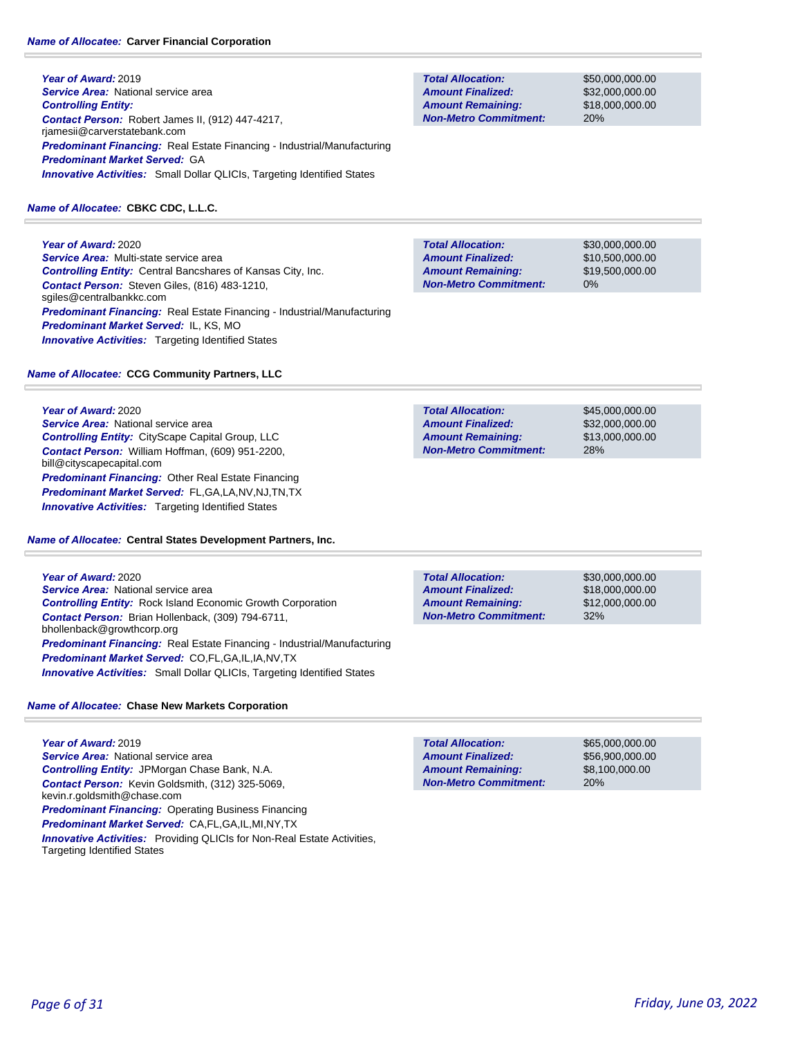## *Name of Allocatee:* **Carver Financial Corporation**

**Year of Award:** 2019 **Service Area:** National service area *Controlling Entity: Contact Person:* Robert James II, (912) 447-4217, rjamesii@carverstatebank.com *Predominant Financing:* Real Estate Financing - Industrial/Manufacturing *Predominant Market Served:* GA **Innovative Activities:** Small Dollar QLICIs, Targeting Identified States

# *Name of Allocatee:* **CBKC CDC, L.L.C.**

**Year of Award:** 2020 *Service Area:* Multi-state service area *Controlling Entity:* Central Bancshares of Kansas City, Inc. *Contact Person:* Steven Giles, (816) 483-1210, sgiles@centralbankkc.com *Predominant Financing:* Real Estate Financing - Industrial/Manufacturing *Predominant Market Served:* IL, KS, MO **Innovative Activities:** Targeting Identified States

# *Name of Allocatee:* **CCG Community Partners, LLC**

# **Year of Award:** 2020

**Service Area:** National service area *Controlling Entity:* CityScape Capital Group, LLC *Contact Person:* William Hoffman, (609) 951-2200, bill@cityscapecapital.com *Predominant Financing:* Other Real Estate Financing *Predominant Market Served:* FL,GA,LA,NV,NJ,TN,TX **Innovative Activities:** Targeting Identified States

## *Name of Allocatee:* **Central States Development Partners, Inc.**

**Year of Award:** 2020 **Service Area:** National service area *Controlling Entity:* Rock Island Economic Growth Corporation *Contact Person:* Brian Hollenback, (309) 794-6711, bhollenback@growthcorp.org *Predominant Financing:* Real Estate Financing - Industrial/Manufacturing *Predominant Market Served:* CO,FL,GA,IL,IA,NV,TX **Innovative Activities:** Small Dollar QLICIs, Targeting Identified States

# *Name of Allocatee:* **Chase New Markets Corporation**

**Year of Award:** 2019 **Service Area: National service area** *Controlling Entity:* JPMorgan Chase Bank, N.A. *Contact Person:* Kevin Goldsmith, (312) 325-5069, kevin.r.goldsmith@chase.com *Predominant Financing:* Operating Business Financing *Predominant Market Served:* CA,FL,GA,IL,MI,NY,TX **Innovative Activities:** Providing QLICIs for Non-Real Estate Activities, Targeting Identified States

**Total Allocation: Non-Metro Commitment: Amount Remaining: Amount Finalized:**

\$50,000,000.00 \$32,000,000.00 \$18,000,000.00 20%

\$30,000,000.00 \$10,500,000.00 \$19,500,000.00 0% **Total Allocation: Non-Metro Commitment: Amount Remaining: Amount Finalized:**

\$45,000,000.00 \$32,000,000.00 \$13,000,000.00 28% **Total Allocation: Non-Metro Commitment: Amount Remaining: Amount Finalized:**

**Total Allocation: Non-Metro Commitment: Amount Remaining: Amount Finalized:**

\$30,000,000.00 \$18,000,000.00 \$12,000,000.00 32%

\$65,000,000.00 \$56,900,000.00 \$8,100,000.00 20% **Total Allocation: Non-Metro Commitment: Amount Remaining: Amount Finalized:**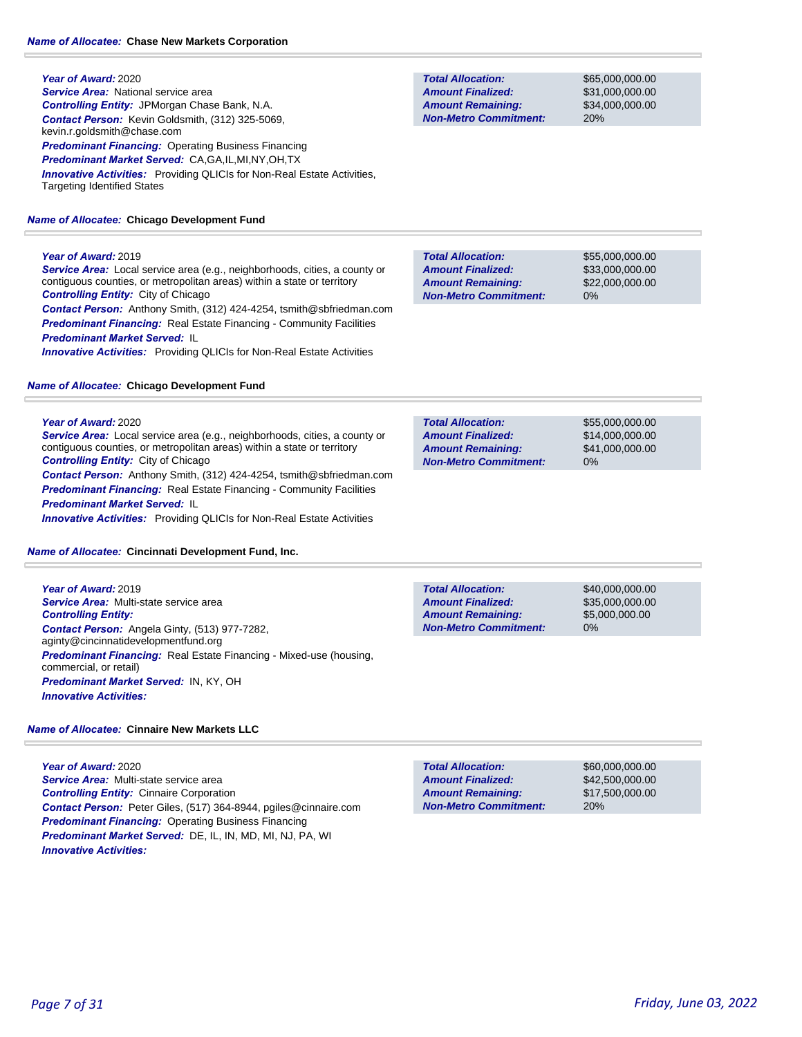## **Year of Award:** 2020 **Service Area:** National service area *Controlling Entity:* JPMorgan Chase Bank, N.A. *Contact Person:* Kevin Goldsmith, (312) 325-5069, kevin.r.goldsmith@chase.com *Predominant Financing:* Operating Business Financing *Predominant Market Served:* CA,GA,IL,MI,NY,OH,TX *Innovative Activities:* Providing QLICIs for Non-Real Estate Activities, Targeting Identified States

# *Name of Allocatee:* **Chicago Development Fund**

# **Year of Award:** 2019

*Service Area:* Local service area (e.g., neighborhoods, cities, a county or contiguous counties, or metropolitan areas) within a state or territory *Controlling Entity:* City of Chicago

*Contact Person:* Anthony Smith, (312) 424-4254, tsmith@sbfriedman.com *Predominant Financing:* Real Estate Financing - Community Facilities *Predominant Market Served:* IL

*Innovative Activities:* Providing QLICIs for Non-Real Estate Activities

# *Name of Allocatee:* **Chicago Development Fund**

## **Year of Award:** 2020

*Service Area:* Local service area (e.g., neighborhoods, cities, a county or contiguous counties, or metropolitan areas) within a state or territory *Controlling Entity:* City of Chicago

*Contact Person:* Anthony Smith, (312) 424-4254, tsmith@sbfriedman.com **Predominant Financing:** Real Estate Financing - Community Facilities *Predominant Market Served:* IL

*Innovative Activities:* Providing QLICIs for Non-Real Estate Activities

## *Name of Allocatee:* **Cincinnati Development Fund, Inc.**

**Year of Award:** 2019 *Service Area:* Multi-state service area *Controlling Entity: Contact Person:* Angela Ginty, (513) 977-7282, aginty@cincinnatidevelopmentfund.org *Predominant Financing:* Real Estate Financing - Mixed-use (housing, commercial, or retail) *Predominant Market Served:* IN, KY, OH *Innovative Activities:* 

## *Name of Allocatee:* **Cinnaire New Markets LLC**

**Year of Award:** 2020 *Service Area:* Multi-state service area *Controlling Entity:* Cinnaire Corporation *Contact Person:* Peter Giles, (517) 364-8944, pgiles@cinnaire.com *Predominant Financing:* Operating Business Financing *Predominant Market Served:* DE, IL, IN, MD, MI, NJ, PA, WI *Innovative Activities:* 

**Total Allocation: Non-Metro Commitment: Amount Remaining: Amount Finalized:**

\$65,000,000.00 \$31,000,000.00 \$34,000,000.00 20%

0% **Total Allocation: Non-Metro Commitment: Amount Remaining: Amount Finalized:**

\$55,000,000.00 \$33,000,000.00 \$22,000,000.00

\$55,000,000.00 \$14,000,000.00 \$41,000,000.00 0% **Total Allocation: Non-Metro Commitment: Amount Remaining: Amount Finalized:**

**Total Allocation: Non-Metro Commitment: Amount Remaining: Amount Finalized:**

\$40,000,000.00 \$35,000,000.00 \$5,000,000.00 0%

\$60,000,000.00 \$42,500,000.00 \$17,500,000.00 20% **Total Allocation: Non-Metro Commitment: Amount Remaining: Amount Finalized:**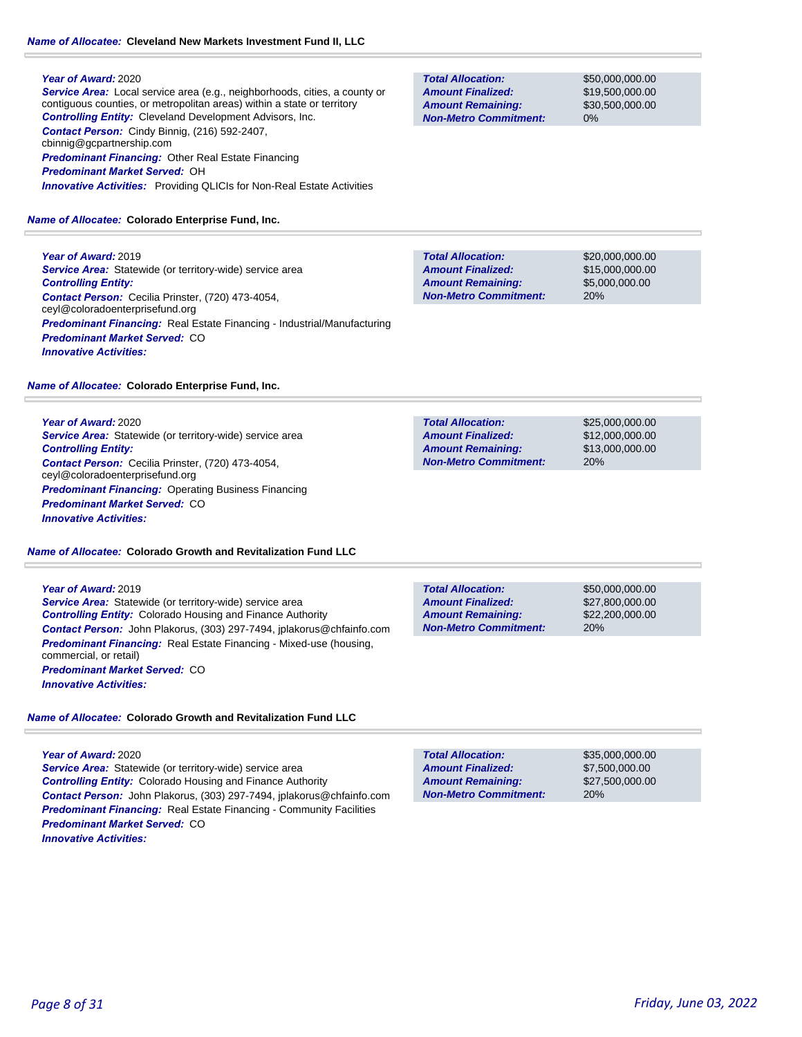# *Name of Allocatee:* **Cleveland New Markets Investment Fund II, LLC**

#### **Year of Award:** 2020

*Service Area:* Local service area (e.g., neighborhoods, cities, a county or contiguous counties, or metropolitan areas) within a state or territory *Controlling Entity:* Cleveland Development Advisors, Inc. *Contact Person:* Cindy Binnig, (216) 592-2407, cbinnig@gcpartnership.com *Predominant Financing:* Other Real Estate Financing *Predominant Market Served:* OH *Innovative Activities:* Providing QLICIs for Non-Real Estate Activities

# *Name of Allocatee:* **Colorado Enterprise Fund, Inc.**

**Year of Award:** 2019 **Service Area:** Statewide (or territory-wide) service area *Controlling Entity: Contact Person:* Cecilia Prinster, (720) 473-4054, ceyl@coloradoenterprisefund.org *Predominant Financing:* Real Estate Financing - Industrial/Manufacturing *Predominant Market Served:* CO *Innovative Activities:* 

#### *Name of Allocatee:* **Colorado Enterprise Fund, Inc.**

**Year of Award:** 2020 **Service Area:** Statewide (or territory-wide) service area *Controlling Entity: Contact Person:* Cecilia Prinster, (720) 473-4054, ceyl@coloradoenterprisefund.org **Predominant Financing: Operating Business Financing** *Predominant Market Served:* CO *Innovative Activities:* 

#### *Name of Allocatee:* **Colorado Growth and Revitalization Fund LLC**

**Year of Award:** 2019 **Service Area:** Statewide (or territory-wide) service area *Controlling Entity:* Colorado Housing and Finance Authority *Contact Person:* John Plakorus, (303) 297-7494, jplakorus@chfainfo.com *Predominant Financing:* Real Estate Financing - Mixed-use (housing, commercial, or retail) *Predominant Market Served:* CO *Innovative Activities:* 

## *Name of Allocatee:* **Colorado Growth and Revitalization Fund LLC**

**Year of Award:** 2020 **Service Area:** Statewide (or territory-wide) service area *Controlling Entity:* Colorado Housing and Finance Authority *Contact Person:* John Plakorus, (303) 297-7494, jplakorus@chfainfo.com *Predominant Financing:* Real Estate Financing - Community Facilities *Predominant Market Served:* CO *Innovative Activities:* 

**Total Allocation: Non-Metro Commitment: Amount Remaining: Amount Finalized:**

\$50,000,000.00 \$19,500,000.00 \$30,500,000.00 0%

**Total Allocation: Non-Metro Commitment: Amount Remaining: Amount Finalized:**

\$20,000,000.00 \$15,000,000.00 \$5,000,000.00 20%

\$25,000,000.00 \$12,000,000.00 \$13,000,000.00 20% **Total Allocation: Non-Metro Commitment: Amount Remaining: Amount Finalized:**

20% **Total Allocation: Non-Metro Commitment: Amount Remaining: Amount Finalized:**

\$50,000,000.00 \$27,800,000.00 \$22,200,000.00

**Total Allocation: Non-Metro Commitment: Amount Remaining: Amount Finalized:**

\$35,000,000.00 \$7,500,000.00 \$27,500,000.00 20%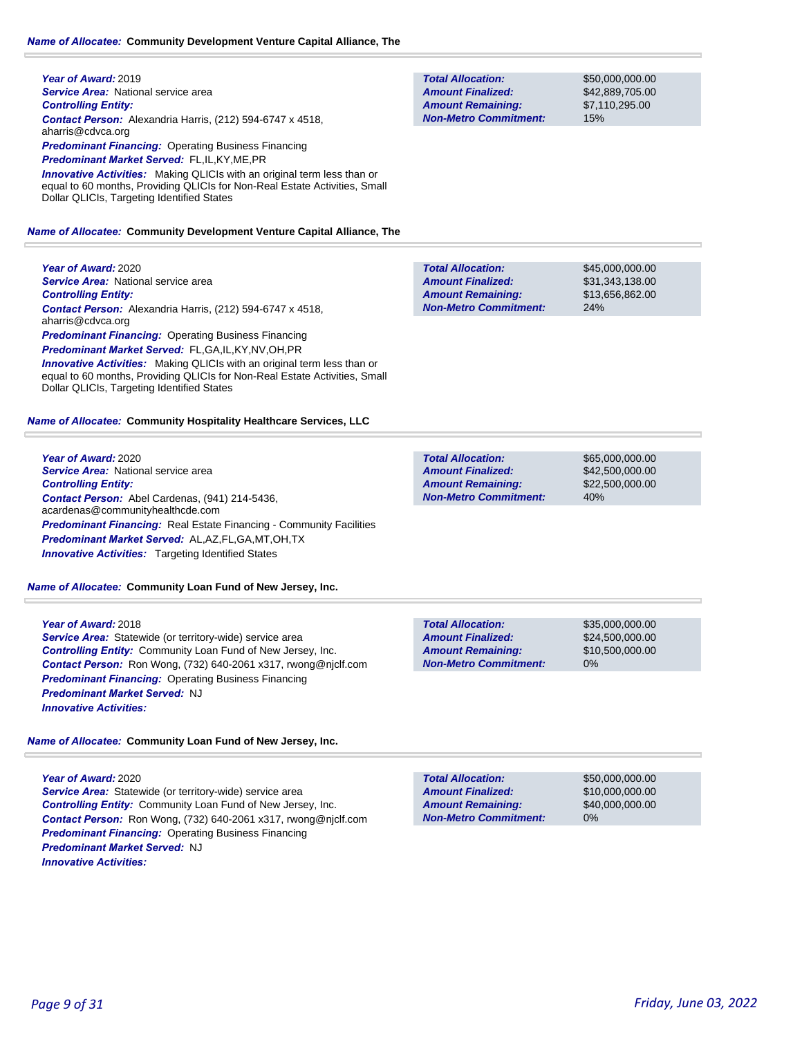**Year of Award:** 2019 **Service Area:** National service area *Controlling Entity: Contact Person:* Alexandria Harris, (212) 594-6747 x 4518, aharris@cdvca.org *Predominant Financing:* Operating Business Financing *Predominant Market Served:* FL,IL,KY,ME,PR *Innovative Activities:* Making QLICIs with an original term less than or equal to 60 months, Providing QLICIs for Non-Real Estate Activities, Small Dollar QLICIs, Targeting Identified States

## *Name of Allocatee:* **Community Development Venture Capital Alliance, The**

**Year of Award:** 2020 *Service Area:* National service area *Controlling Entity: Contact Person:* Alexandria Harris, (212) 594-6747 x 4518, aharris@cdvca.org *Predominant Financing: Operating Business Financing Predominant Market Served:* FL,GA,IL,KY,NV,OH,PR **Innovative Activities:** Making QLICIs with an original term less than or equal to 60 months, Providing QLICIs for Non-Real Estate Activities, Small Dollar QLICIs, Targeting Identified States

#### *Name of Allocatee:* **Community Hospitality Healthcare Services, LLC**

**Year of Award:** 2020 *Service Area:* National service area *Controlling Entity: Contact Person:* Abel Cardenas, (941) 214-5436, acardenas@communityhealthcde.com **Predominant Financing:** Real Estate Financing - Community Facilities *Predominant Market Served:* AL,AZ,FL,GA,MT,OH,TX **Innovative Activities:** Targeting Identified States

#### *Name of Allocatee:* **Community Loan Fund of New Jersey, Inc.**

**Year of Award:** 2018 *Service Area:* Statewide (or territory-wide) service area *Controlling Entity:* Community Loan Fund of New Jersey, Inc. *Contact Person:* Ron Wong, (732) 640-2061 x317, rwong@njclf.com *Predominant Financing: Operating Business Financing Predominant Market Served:* NJ *Innovative Activities:* 

*Name of Allocatee:* **Community Loan Fund of New Jersey, Inc.**

**Year of Award:** 2020

**Service Area:** Statewide (or territory-wide) service area *Controlling Entity:* Community Loan Fund of New Jersey, Inc. *Contact Person:* Ron Wong, (732) 640-2061 x317, rwong@njclf.com *Predominant Financing: Operating Business Financing Predominant Market Served:* NJ *Innovative Activities:* 

| <b>Total Allocation:</b>     |  |
|------------------------------|--|
| <b>Amount Finalized:</b>     |  |
| <b>Amount Remaining:</b>     |  |
| <b>Non-Metro Commitment:</b> |  |

\$50,000,000.00 \$42,889,705.00 \$7,110,295.00 15%

\$45,000,000.00 \$31,343,138.00 \$13,656,862.00 24% **Total Allocation: Non-Metro Commitment: Amount Remaining: Amount Finalized:**

**Total Allocation: Non-Metro Commitment: Amount Remaining: Amount Finalized:**

\$65,000,000.00 \$42,500,000.00 \$22,500,000.00 40%

0% **Total Allocation: Non-Metro Commitment: Amount Remaining: Amount Finalized:**

\$35,000,000.00 \$24,500,000.00 \$10,500,000.00

**Total Allocation: Non-Metro Commitment: Amount Remaining: Amount Finalized:**

\$50,000,000.00 \$10,000,000.00 \$40,000,000.00 0%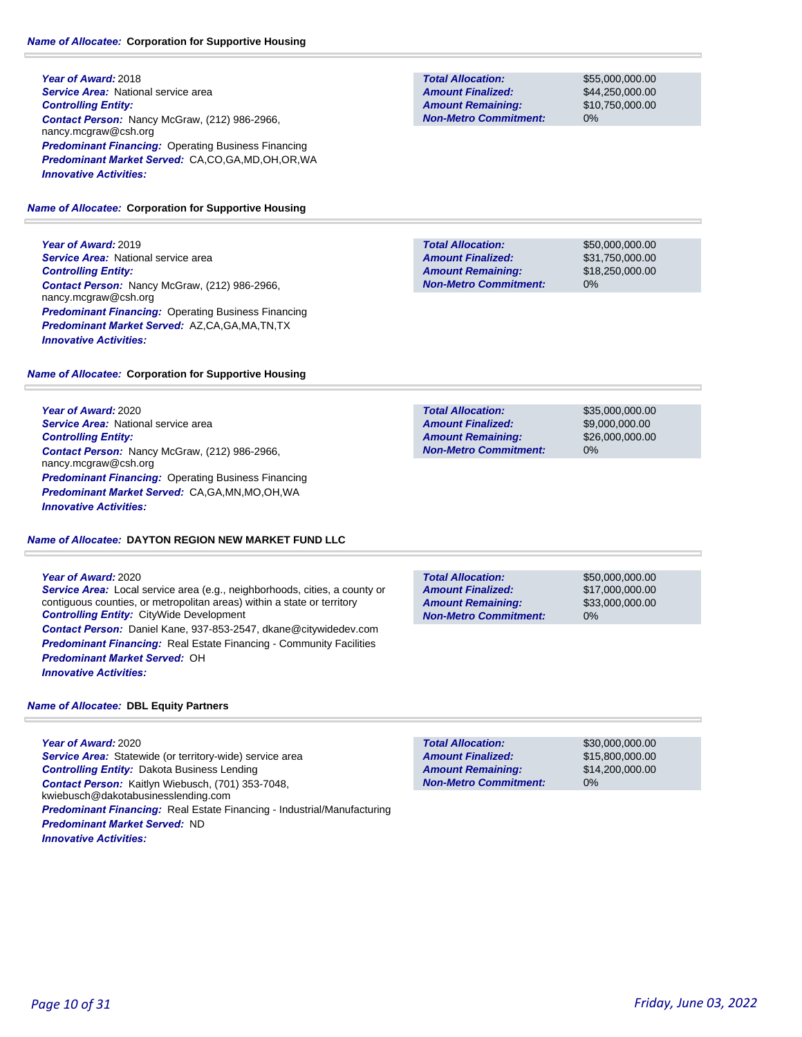## *Name of Allocatee:* **Corporation for Supportive Housing**

**Year of Award:** 2018 **Service Area:** National service area *Controlling Entity: Contact Person:* Nancy McGraw, (212) 986-2966, nancy.mcgraw@csh.org *Predominant Financing:* Operating Business Financing *Predominant Market Served:* CA,CO,GA,MD,OH,OR,WA *Innovative Activities:* 

## *Name of Allocatee:* **Corporation for Supportive Housing**

**Year of Award:** 2019 **Service Area:** National service area *Controlling Entity: Contact Person:* Nancy McGraw, (212) 986-2966, nancy.mcgraw@csh.org *Predominant Financing:* Operating Business Financing *Predominant Market Served:* AZ,CA,GA,MA,TN,TX *Innovative Activities:* 

## *Name of Allocatee:* **Corporation for Supportive Housing**

**Year of Award:** 2020 **Service Area: National service area** *Controlling Entity: Contact Person:* Nancy McGraw, (212) 986-2966, nancy.mcgraw@csh.org *Predominant Financing:* Operating Business Financing *Predominant Market Served:* CA,GA,MN,MO,OH,WA *Innovative Activities:* 

# *Name of Allocatee:* **DAYTON REGION NEW MARKET FUND LLC**

## **Year of Award:** 2020

*Service Area:* Local service area (e.g., neighborhoods, cities, a county or contiguous counties, or metropolitan areas) within a state or territory *Controlling Entity:* CityWide Development *Contact Person:* Daniel Kane, 937-853-2547, dkane@citywidedev.com **Predominant Financing:** Real Estate Financing - Community Facilities *Predominant Market Served:* OH *Innovative Activities:* 

## *Name of Allocatee:* **DBL Equity Partners**

**Year of Award:** 2020 Service Area: Statewide (or territory-wide) service area *Controlling Entity:* Dakota Business Lending *Contact Person:* Kaitlyn Wiebusch, (701) 353-7048, kwiebusch@dakotabusinesslending.com *Predominant Financing:* Real Estate Financing - Industrial/Manufacturing *Predominant Market Served:* ND *Innovative Activities:* 

**Total Allocation: Non-Metro Commitment: Amount Remaining: Amount Finalized:**

\$55,000,000.00 \$44,250,000.00 \$10,750,000.00 0%

\$50,000,000.00 \$31,750,000.00 \$18,250,000.00 0% **Total Allocation: Non-Metro Commitment: Amount Remaining: Amount Finalized:**

**Total Allocation: Non-Metro Commitment: Amount Remaining: Amount Finalized:**

\$35,000,000.00 \$9,000,000.00 \$26,000,000.00 0%

**Total Allocation: Non-Metro Commitment: Amount Remaining: Amount Finalized:**

\$50,000,000.00 \$17,000,000.00 \$33,000,000.00 0%

\$30,000,000.00 \$15,800,000.00 \$14,200,000.00 0% **Total Allocation: Non-Metro Commitment: Amount Remaining: Amount Finalized:**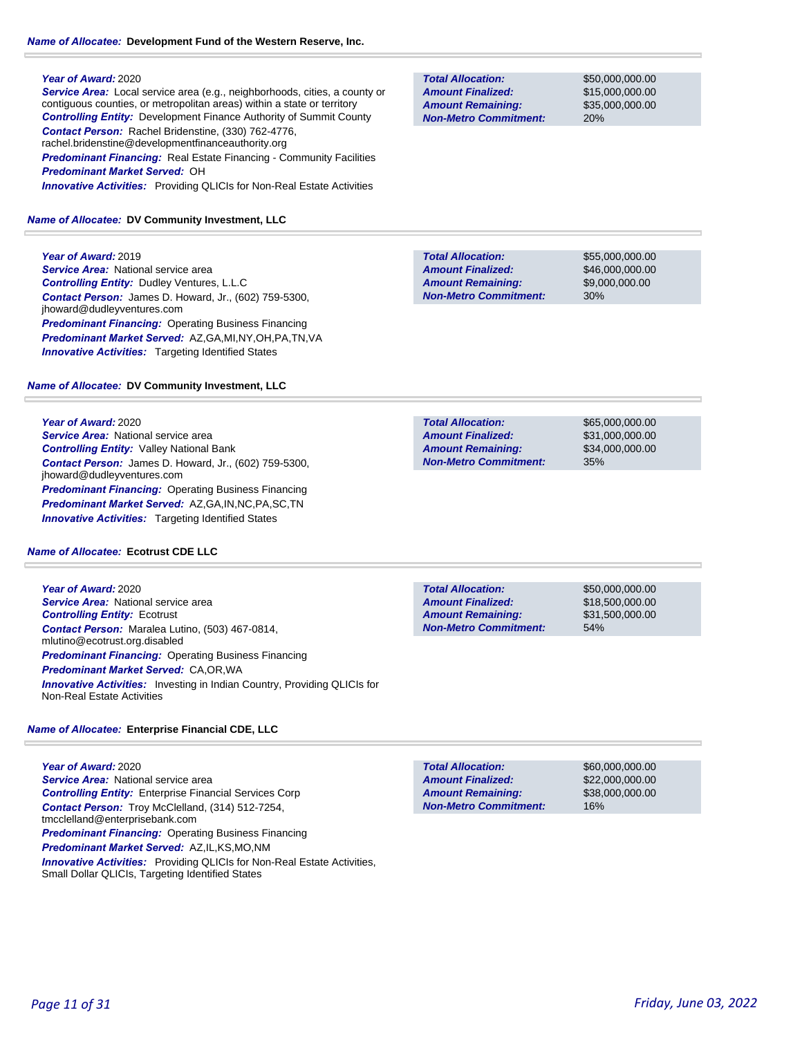## *Name of Allocatee:* **Development Fund of the Western Reserve, Inc.**

## **Year of Award:** 2020

*Service Area:* Local service area (e.g., neighborhoods, cities, a county or contiguous counties, or metropolitan areas) within a state or territory *Controlling Entity:* Development Finance Authority of Summit County *Contact Person:* Rachel Bridenstine, (330) 762-4776, rachel.bridenstine@developmentfinanceauthority.org **Predominant Financing:** Real Estate Financing - Community Facilities *Predominant Market Served:* OH *Innovative Activities:* Providing QLICIs for Non-Real Estate Activities

## *Name of Allocatee:* **DV Community Investment, LLC**

**Year of Award:** 2019 *Service Area:* National service area *Controlling Entity:* Dudley Ventures, L.L.C *Contact Person:* James D. Howard, Jr., (602) 759-5300, jhoward@dudleyventures.com *Predominant Financing:* Operating Business Financing *Predominant Market Served:* AZ,GA,MI,NY,OH,PA,TN,VA **Innovative Activities:** Targeting Identified States

## *Name of Allocatee:* **DV Community Investment, LLC**

## **Year of Award:** 2020

**Service Area:** National service area *Controlling Entity:* Valley National Bank *Contact Person:* James D. Howard, Jr., (602) 759-5300, jhoward@dudleyventures.com *Predominant Financing:* Operating Business Financing *Predominant Market Served:* AZ,GA,IN,NC,PA,SC,TN *Innovative Activities:* Targeting Identified States

## *Name of Allocatee:* **Ecotrust CDE LLC**

**Year of Award:** 2020 **Service Area:** National service area *Controlling Entity:* Ecotrust *Contact Person:* Maralea Lutino, (503) 467-0814, mlutino@ecotrust.org.disabled *Predominant Financing:* Operating Business Financing *Predominant Market Served:* CA,OR,WA *Innovative Activities:* Investing in Indian Country, Providing QLICIs for Non-Real Estate Activities

## *Name of Allocatee:* **Enterprise Financial CDE, LLC**

**Year of Award:** 2020 **Service Area:** National service area *Controlling Entity:* Enterprise Financial Services Corp *Contact Person:* Troy McClelland, (314) 512-7254, tmcclelland@enterprisebank.com *Predominant Financing: Operating Business Financing Predominant Market Served:* AZ,IL,KS,MO,NM *Innovative Activities:* Providing QLICIs for Non-Real Estate Activities, Small Dollar QLICIs, Targeting Identified States

**Total Allocation: Non-Metro Commitment: Amount Remaining: Amount Finalized:**

\$50,000,000.00 \$15,000,000.00 \$35,000,000.00 20%

**Total Allocation: Non-Metro Commitment: Amount Remaining: Amount Finalized:**

\$55,000,000.00 \$46,000,000.00 \$9,000,000.00 30%

\$65,000,000.00 \$31,000,000.00 \$34,000,000.00 35% **Total Allocation: Non-Metro Commitment: Amount Remaining: Amount Finalized:**

**Total Allocation: Non-Metro Commitment: Amount Remaining: Amount Finalized:**

\$50,000,000.00 \$18,500,000.00 \$31,500,000.00 54%

\$60,000,000.00 \$22,000,000.00 \$38,000,000.00 16% **Total Allocation: Non-Metro Commitment: Amount Remaining: Amount Finalized:**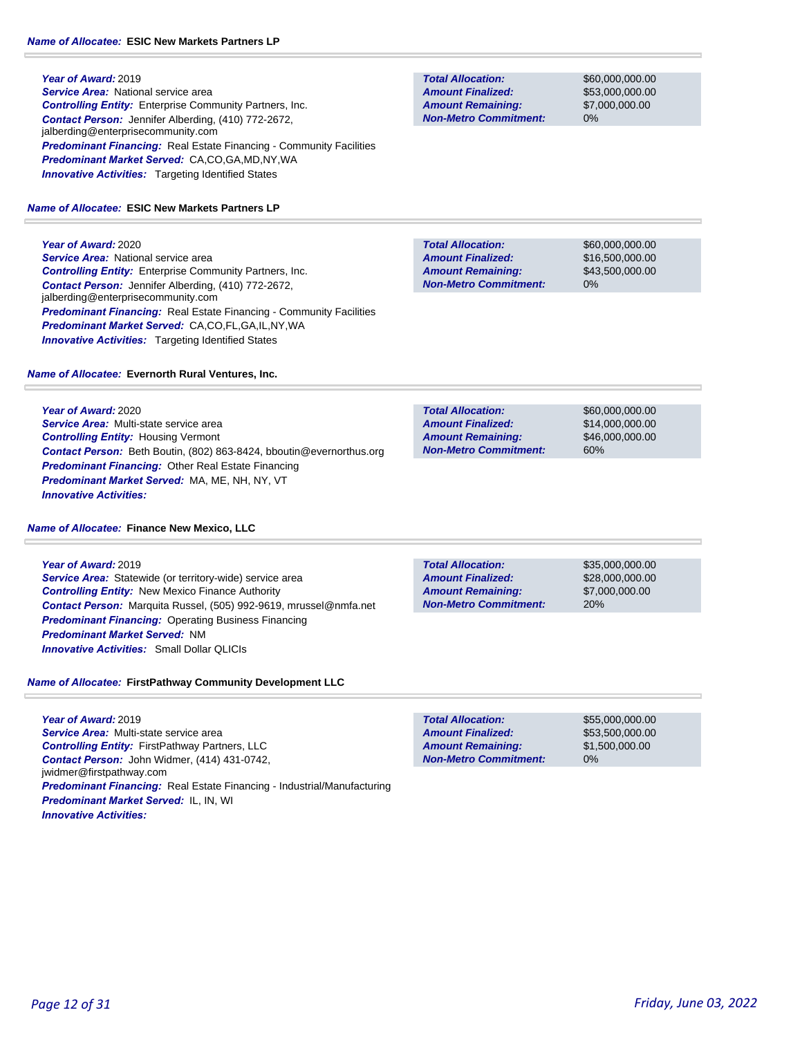**Year of Award:** 2019 **Service Area:** National service area *Controlling Entity:* Enterprise Community Partners, Inc. *Contact Person:* Jennifer Alberding, (410) 772-2672, jalberding@enterprisecommunity.com **Predominant Financing:** Real Estate Financing - Community Facilities *Predominant Market Served:* CA,CO,GA,MD,NY,WA **Innovative Activities:** Targeting Identified States

### *Name of Allocatee:* **ESIC New Markets Partners LP**

**Year of Award:** 2020 **Service Area:** National service area *Controlling Entity:* Enterprise Community Partners, Inc. *Contact Person:* Jennifer Alberding, (410) 772-2672, jalberding@enterprisecommunity.com **Predominant Financing:** Real Estate Financing - Community Facilities *Predominant Market Served:* CA,CO,FL,GA,IL,NY,WA **Innovative Activities:** Targeting Identified States

## *Name of Allocatee:* **Evernorth Rural Ventures, Inc.**

**Year of Award:** 2020 *Service Area:* Multi-state service area *Controlling Entity:* Housing Vermont *Contact Person:* Beth Boutin, (802) 863-8424, bboutin@evernorthus.org *Predominant Financing:* Other Real Estate Financing *Predominant Market Served:* MA, ME, NH, NY, VT *Innovative Activities:* 

#### *Name of Allocatee:* **Finance New Mexico, LLC**

**Year of Award:** 2019 *Service Area:* Statewide (or territory-wide) service area *Controlling Entity:* New Mexico Finance Authority *Contact Person:* Marquita Russel, (505) 992-9619, mrussel@nmfa.net **Predominant Financing: Operating Business Financing** *Predominant Market Served:* NM *Innovative Activities:* Small Dollar QLICIs

## *Name of Allocatee:* **FirstPathway Community Development LLC**

**Year of Award:** 2019 *Service Area:* Multi-state service area *Controlling Entity:* FirstPathway Partners, LLC *Contact Person:* John Widmer, (414) 431-0742, jwidmer@firstpathway.com *Predominant Financing:* Real Estate Financing - Industrial/Manufacturing *Predominant Market Served:* IL, IN, WI *Innovative Activities:* 

**Total Allocation: Non-Metro Commitment: Amount Remaining: Amount Finalized:**

\$60,000,000.00 \$53,000,000.00 \$7,000,000.00 0%

\$60,000,000.00 \$16,500,000.00 \$43,500,000.00 0% **Total Allocation: Non-Metro Commitment: Amount Remaining: Amount Finalized:**

**Total Allocation: Non-Metro Commitment: Amount Remaining: Amount Finalized:**

\$60,000,000.00 \$14,000,000.00 \$46,000,000.00 60%

**Total Allocation: Non-Metro Commitment: Amount Remaining: Amount Finalized:**

\$35,000,000.00 \$28,000,000.00 \$7,000,000.00 20%

**Total Allocation: Non-Metro Commitment: Amount Remaining: Amount Finalized:**

\$55,000,000.00 \$53,500,000.00 \$1,500,000.00 0%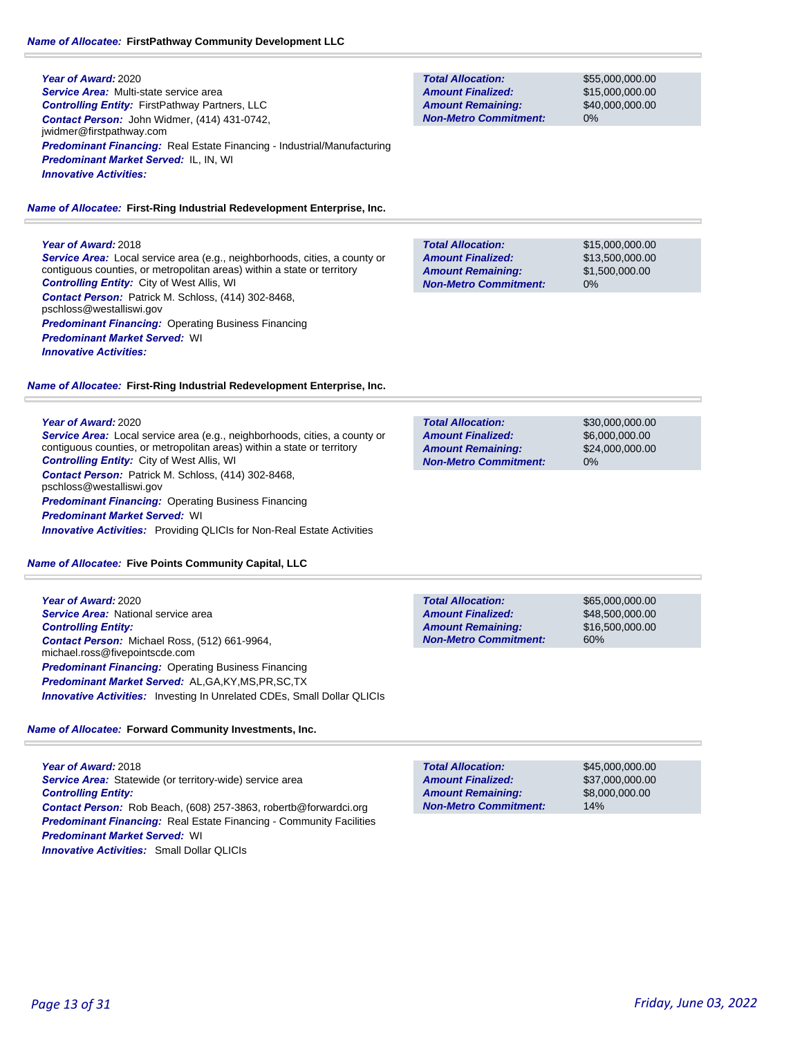**Year of Award:** 2020 *Service Area:* Multi-state service area *Controlling Entity:* FirstPathway Partners, LLC *Contact Person:* John Widmer, (414) 431-0742, jwidmer@firstpathway.com *Predominant Financing:* Real Estate Financing - Industrial/Manufacturing *Predominant Market Served:* IL, IN, WI *Innovative Activities:* 

*Name of Allocatee:* **First-Ring Industrial Redevelopment Enterprise, Inc.**

# **Year of Award:** 2018

*Service Area:* Local service area (e.g., neighborhoods, cities, a county or contiguous counties, or metropolitan areas) within a state or territory *Controlling Entity:* City of West Allis, WI *Contact Person:* Patrick M. Schloss, (414) 302-8468, pschloss@westalliswi.gov *Predominant Financing:* Operating Business Financing *Predominant Market Served:* WI *Innovative Activities:* 

*Name of Allocatee:* **First-Ring Industrial Redevelopment Enterprise, Inc.**

## **Year of Award:** 2020

*Service Area:* Local service area (e.g., neighborhoods, cities, a county or contiguous counties, or metropolitan areas) within a state or territory *Controlling Entity:* City of West Allis, WI *Contact Person:* Patrick M. Schloss, (414) 302-8468, pschloss@westalliswi.gov **Predominant Financing: Operating Business Financing** *Predominant Market Served:* WI *Innovative Activities:* Providing QLICIs for Non-Real Estate Activities

*Name of Allocatee:* **Five Points Community Capital, LLC**

**Year of Award:** 2020 *Service Area:* National service area *Controlling Entity: Contact Person:* Michael Ross, (512) 661-9964, michael.ross@fivepointscde.com *Predominant Financing: Operating Business Financing Predominant Market Served:* AL,GA,KY,MS,PR,SC,TX *Innovative Activities:* Investing In Unrelated CDEs, Small Dollar QLICIs

# *Name of Allocatee:* **Forward Community Investments, Inc.**

**Year of Award:** 2018 *Service Area:* Statewide (or territory-wide) service area *Controlling Entity: Contact Person:* Rob Beach, (608) 257-3863, robertb@forwardci.org *Predominant Financing:* Real Estate Financing - Community Facilities *Predominant Market Served:* WI *Innovative Activities:* Small Dollar QLICIs

**Total Allocation: Non-Metro Commitment: Amount Remaining: Amount Finalized:**

\$55,000,000.00 \$15,000,000.00 \$40,000,000.00 0%

\$15,000,000.00 \$13,500,000.00 \$1,500,000.00 0% **Total Allocation: Non-Metro Commitment: Amount Remaining: Amount Finalized:**

\$30,000,000.00 \$6,000,000.00 \$24,000,000.00 0% **Total Allocation: Non-Metro Commitment: Amount Remaining: Amount Finalized:**

**Total Allocation: Non-Metro Commitment: Amount Remaining: Amount Finalized:**

\$65,000,000.00 \$48,500,000.00 \$16,500,000.00 60%

\$45,000,000.00 \$37,000,000.00 \$8,000,000.00 14% **Total Allocation: Non-Metro Commitment: Amount Remaining: Amount Finalized:**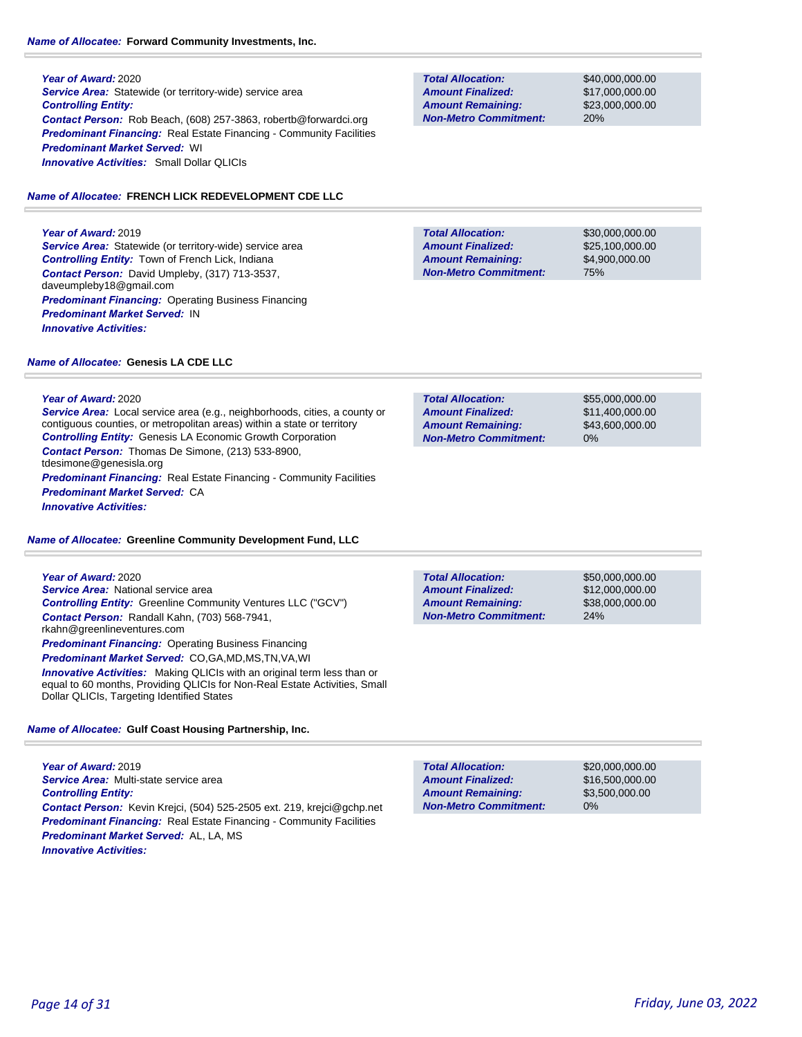## *Name of Allocatee:* **Forward Community Investments, Inc.**

**Year of Award:** 2020 **Service Area:** Statewide (or territory-wide) service area *Controlling Entity: Contact Person:* Rob Beach, (608) 257-3863, robertb@forwardci.org **Predominant Financing:** Real Estate Financing - Community Facilities *Predominant Market Served:* WI *Innovative Activities:* Small Dollar QLICIs

## *Name of Allocatee:* **FRENCH LICK REDEVELOPMENT CDE LLC**

**Year of Award:** 2019 **Service Area:** Statewide (or territory-wide) service area *Controlling Entity:* Town of French Lick, Indiana *Contact Person:* David Umpleby, (317) 713-3537, daveumpleby18@gmail.com *Predominant Financing:* Operating Business Financing *Predominant Market Served:* IN *Innovative Activities:* 

## **Total Allocation: Non-Metro Commitment: Amount Remaining: Amount Finalized:**

\$40,000,000.00 \$17,000,000.00 \$23,000,000.00 20%

**Total Allocation: Non-Metro Commitment: Amount Remaining: Amount Finalized:**

\$30,000,000.00 \$25,100,000.00 \$4,900,000.00 75%

#### *Name of Allocatee:* **Genesis LA CDE LLC**

## **Year of Award:** 2020

*Service Area:* Local service area (e.g., neighborhoods, cities, a county or contiguous counties, or metropolitan areas) within a state or territory *Controlling Entity:* Genesis LA Economic Growth Corporation *Contact Person:* Thomas De Simone, (213) 533-8900, tdesimone@genesisla.org *Predominant Financing:* Real Estate Financing - Community Facilities *Predominant Market Served:* CA *Innovative Activities:* 

## *Name of Allocatee:* **Greenline Community Development Fund, LLC**

| Year of Award: 2020                                                                                                                                                                                        |
|------------------------------------------------------------------------------------------------------------------------------------------------------------------------------------------------------------|
| <b>Service Area:</b> National service area                                                                                                                                                                 |
| <b>Controlling Entity: Greenline Community Ventures LLC ("GCV")</b>                                                                                                                                        |
| Contact Person: Randall Kahn, (703) 568-7941,<br>rkahn@greenlineventures.com                                                                                                                               |
| <b>Predominant Financing:</b> Operating Business Financing                                                                                                                                                 |
| Predominant Market Served: CO,GA,MD,MS,TN,VA,WI                                                                                                                                                            |
| <b>Innovative Activities:</b> Making QLICIs with an original term less than or<br>equal to 60 months, Providing QLICIs for Non-Real Estate Activities, Small<br>Dollar QLICIs, Targeting Identified States |

#### *Name of Allocatee:* **Gulf Coast Housing Partnership, Inc.**

**Year of Award:** 2019 *Service Area:* Multi-state service area *Controlling Entity: Contact Person:* Kevin Krejci, (504) 525-2505 ext. 219, krejci@gchp.net **Predominant Financing:** Real Estate Financing - Community Facilities *Predominant Market Served:* AL, LA, MS *Innovative Activities:* 

| <b>Total Allocation:</b>     | \$55,000,000,00 |
|------------------------------|-----------------|
| <b>Amount Finalized:</b>     | \$11,400,000.00 |
| <b>Amount Remaining:</b>     | \$43,600,000,00 |
| <b>Non-Metro Commitment:</b> | $0\%$           |
|                              |                 |

**Total Allocation: Non-Metro Commitment: Amount Remaining: Amount Finalized:**

\$50,000,000.00 \$12,000,000.00 \$38,000,000.00 24%

\$20,000,000.00 \$16,500,000.00 \$3,500,000.00 0% **Total Allocation: Non-Metro Commitment: Amount Remaining: Amount Finalized:**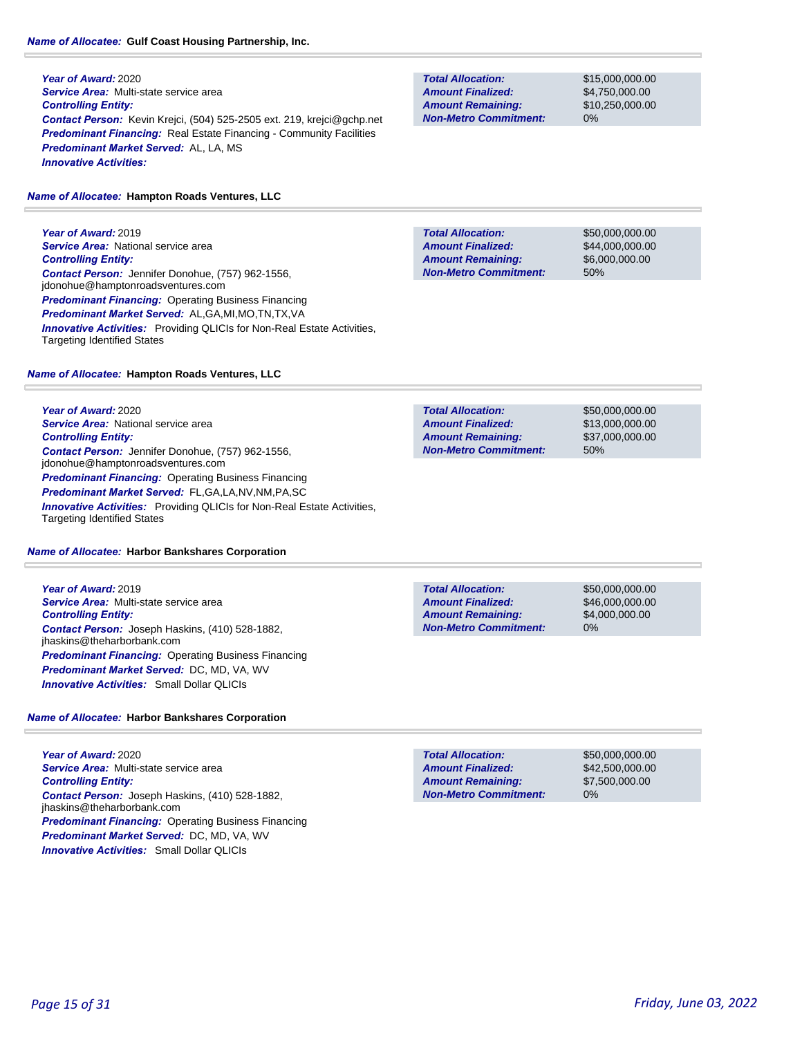# *Name of Allocatee:* **Gulf Coast Housing Partnership, Inc.**

**Year of Award:** 2020 *Service Area:* Multi-state service area *Controlling Entity: Contact Person:* Kevin Krejci, (504) 525-2505 ext. 219, krejci@gchp.net **Predominant Financing:** Real Estate Financing - Community Facilities *Predominant Market Served:* AL, LA, MS *Innovative Activities:* 

# *Name of Allocatee:* **Hampton Roads Ventures, LLC**

**Year of Award:** 2019 **Service Area:** National service area *Controlling Entity: Contact Person:* Jennifer Donohue, (757) 962-1556, jdonohue@hamptonroadsventures.com *Predominant Financing:* Operating Business Financing *Predominant Market Served:* AL,GA,MI,MO,TN,TX,VA **Innovative Activities:** Providing QLICIs for Non-Real Estate Activities, Targeting Identified States

*Name of Allocatee:* **Hampton Roads Ventures, LLC**

**Year of Award:** 2020 **Service Area: National service area** *Controlling Entity: Contact Person:* Jennifer Donohue, (757) 962-1556, jdonohue@hamptonroadsventures.com *Predominant Financing: Operating Business Financing Predominant Market Served:* FL,GA,LA,NV,NM,PA,SC **Innovative Activities:** Providing QLICIs for Non-Real Estate Activities, Targeting Identified States

# *Name of Allocatee:* **Harbor Bankshares Corporation**

**Year of Award:** 2019 *Service Area:* Multi-state service area *Controlling Entity: Contact Person:* Joseph Haskins, (410) 528-1882, jhaskins@theharborbank.com **Predominant Financing: Operating Business Financing** *Predominant Market Served:* DC, MD, VA, WV *Innovative Activities:* Small Dollar QLICIs

# *Name of Allocatee:* **Harbor Bankshares Corporation**

**Year of Award:** 2020 *Service Area:* Multi-state service area *Controlling Entity: Contact Person:* Joseph Haskins, (410) 528-1882, jhaskins@theharborbank.com *Predominant Financing:* Operating Business Financing *Predominant Market Served:* DC, MD, VA, WV *Innovative Activities:* Small Dollar QLICIs

**Total Allocation: Non-Metro Commitment: Amount Remaining: Amount Finalized:**

\$15,000,000.00 \$4,750,000.00 \$10,250,000.00 0%

**Total Allocation: Non-Metro Commitment: Amount Remaining: Amount Finalized:**

\$50,000,000.00 \$44,000,000.00 \$6,000,000.00 50%

**Total Allocation: Non-Metro Commitment: Amount Remaining: Amount Finalized:**

\$50,000,000.00 \$13,000,000.00 \$37,000,000.00 50%

**Total Allocation: Non-Metro Commitment: Amount Remaining: Amount Finalized:**

\$50,000,000.00 \$46,000,000.00 \$4,000,000.00 0%

**Total Allocation: Non-Metro Commitment: Amount Remaining: Amount Finalized:**

\$50,000,000.00 \$42,500,000.00 \$7,500,000.00 0%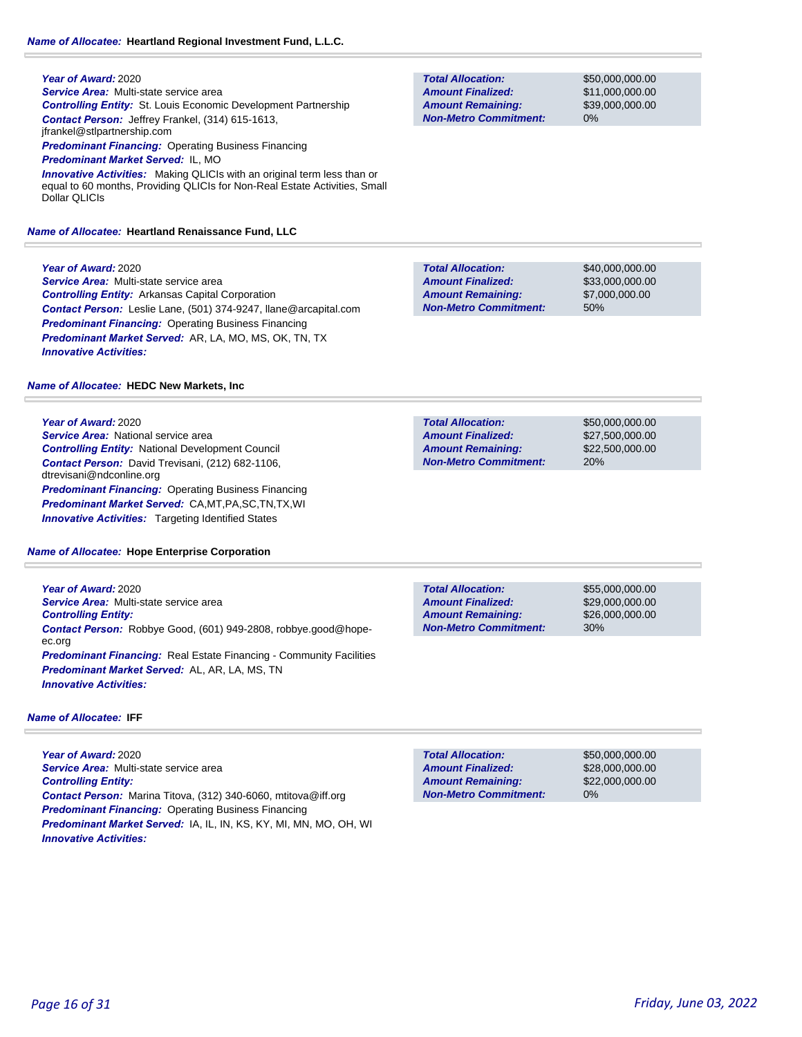**Year of Award:** 2020 *Service Area:* Multi-state service area *Controlling Entity:* St. Louis Economic Development Partnership *Contact Person:* Jeffrey Frankel, (314) 615-1613, jfrankel@stlpartnership.com

*Predominant Financing:* Operating Business Financing

*Predominant Market Served:* IL, MO

**Innovative Activities:** Making QLICIs with an original term less than or equal to 60 months, Providing QLICIs for Non-Real Estate Activities, Small Dollar QLICIs

#### *Name of Allocatee:* **Heartland Renaissance Fund, LLC**

**Year of Award:** 2020

*Service Area:* Multi-state service area *Controlling Entity:* Arkansas Capital Corporation *Contact Person:* Leslie Lane, (501) 374-9247, llane@arcapital.com *Predominant Financing:* Operating Business Financing *Predominant Market Served:* AR, LA, MO, MS, OK, TN, TX *Innovative Activities:* 

#### *Name of Allocatee:* **HEDC New Markets, Inc**

**Year of Award:** 2020 **Service Area:** National service area *Controlling Entity:* National Development Council *Contact Person:* David Trevisani, (212) 682-1106, dtrevisani@ndconline.org **Predominant Financing: Operating Business Financing** *Predominant Market Served:* CA,MT,PA,SC,TN,TX,WI *Innovative Activities:* Targeting Identified States

#### *Name of Allocatee:* **Hope Enterprise Corporation**

**Year of Award:** 2020 *Service Area:* Multi-state service area *Controlling Entity: Contact Person:* Robbye Good, (601) 949-2808, robbye.good@hopeec.org **Predominant Financing:** Real Estate Financing - Community Facilities *Predominant Market Served:* AL, AR, LA, MS, TN *Innovative Activities:* 

#### *Name of Allocatee:* **IFF**

**Year of Award:** 2020 *Service Area:* Multi-state service area *Controlling Entity: Contact Person:* Marina Titova, (312) 340-6060, mtitova@iff.org *Predominant Financing: Operating Business Financing Predominant Market Served:* IA, IL, IN, KS, KY, MI, MN, MO, OH, WI *Innovative Activities:* 

**Total Allocation: Non-Metro Commitment: Amount Remaining: Amount Finalized:**

\$50,000,000.00 \$11,000,000.00 \$39,000,000.00 0%

\$40,000,000.00 \$33,000,000.00 \$7,000,000.00 50% **Total Allocation: Non-Metro Commitment: Amount Remaining: Amount Finalized:**

\$50,000,000.00 \$27,500,000.00 \$22,500,000.00 20% **Total Allocation: Non-Metro Commitment: Amount Remaining: Amount Finalized:**

**Total Allocation: Non-Metro Commitment: Amount Remaining: Amount Finalized:**

\$55,000,000.00 \$29,000,000.00 \$26,000,000.00 30%

**Total Allocation: Non-Metro Commitment: Amount Remaining: Amount Finalized:**

\$50,000,000.00 \$28,000,000.00 \$22,000,000.00 0%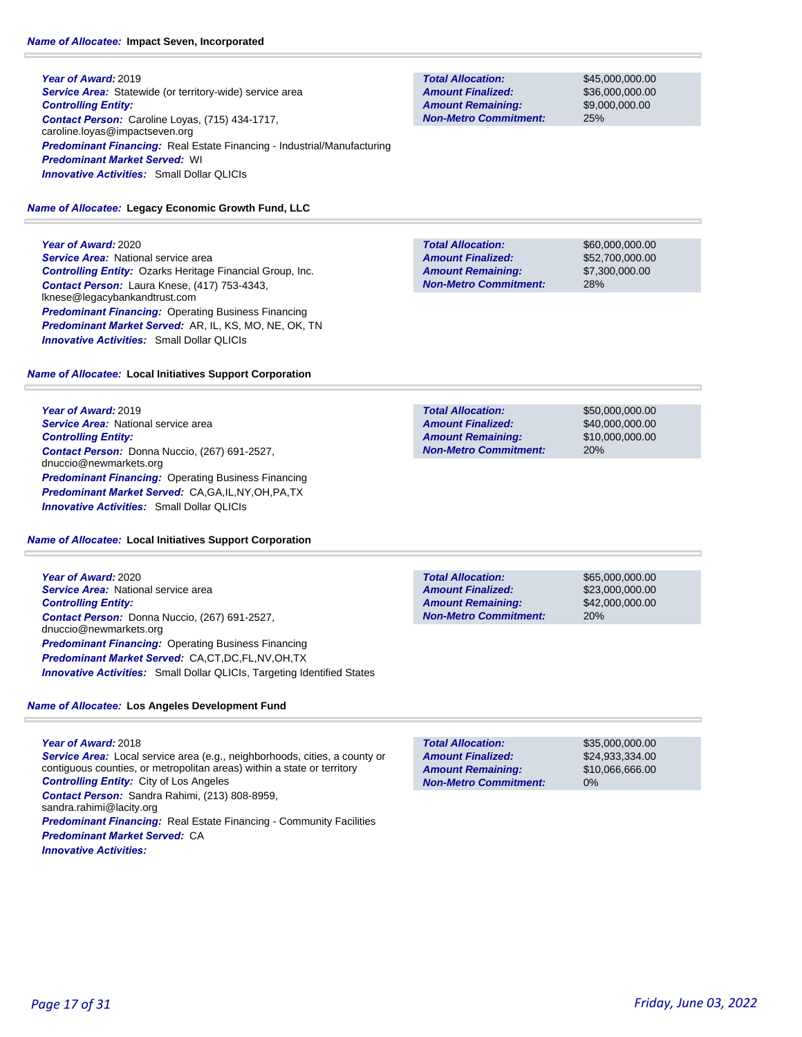**Year of Award:** 2019 **Service Area:** Statewide (or territory-wide) service area *Controlling Entity: Contact Person:* Caroline Loyas, (715) 434-1717, caroline.loyas@impactseven.org *Predominant Financing:* Real Estate Financing - Industrial/Manufacturing *Predominant Market Served:* WI *Innovative Activities:* Small Dollar QLICIs

# *Name of Allocatee:* **Legacy Economic Growth Fund, LLC**

**Year of Award:** 2020

**Service Area:** National service area *Controlling Entity:* Ozarks Heritage Financial Group, Inc. *Contact Person:* Laura Knese, (417) 753-4343, lknese@legacybankandtrust.com **Predominant Financing: Operating Business Financing** *Predominant Market Served:* AR, IL, KS, MO, NE, OK, TN *Innovative Activities:* Small Dollar QLICIs

# *Name of Allocatee:* **Local Initiatives Support Corporation**

**Year of Award:** 2019 **Service Area: National service area** *Controlling Entity: Contact Person:* Donna Nuccio, (267) 691-2527, dnuccio@newmarkets.org *Predominant Financing:* Operating Business Financing *Predominant Market Served:* CA,GA,IL,NY,OH,PA,TX *Innovative Activities:* Small Dollar QLICIs

*Name of Allocatee:* **Local Initiatives Support Corporation**

**Year of Award:** 2020 **Service Area: National service area** *Controlling Entity: Contact Person:* Donna Nuccio, (267) 691-2527, dnuccio@newmarkets.org **Predominant Financing: Operating Business Financing** *Predominant Market Served:* CA,CT,DC,FL,NV,OH,TX **Innovative Activities:** Small Dollar QLICIs, Targeting Identified States

# *Name of Allocatee:* **Los Angeles Development Fund**

**Year of Award:** 2018 *Service Area:* Local service area (e.g., neighborhoods, cities, a county or contiguous counties, or metropolitan areas) within a state or territory *Controlling Entity:* City of Los Angeles *Contact Person:* Sandra Rahimi, (213) 808-8959, sandra.rahimi@lacity.org **Predominant Financing:** Real Estate Financing - Community Facilities *Predominant Market Served:* CA *Innovative Activities:* 

**Total Allocation: Non-Metro Commitment: Amount Remaining: Amount Finalized:**

\$45,000,000.00 \$36,000,000.00 \$9,000,000.00 25%

**Total Allocation: Non-Metro Commitment: Amount Remaining: Amount Finalized:**

\$60,000,000.00 \$52,700,000.00 \$7,300,000.00 28%

**Total Allocation: Non-Metro Commitment: Amount Remaining: Amount Finalized:**

\$50,000,000.00 \$40,000,000.00 \$10,000,000.00 20%

**Total Allocation: Non-Metro Commitment: Amount Remaining: Amount Finalized:**

\$65,000,000.00 \$23,000,000.00 \$42,000,000.00 20%

\$35,000,000.00 \$24,933,334.00 \$10,066,666.00 0% **Total Allocation: Non-Metro Commitment: Amount Remaining: Amount Finalized:**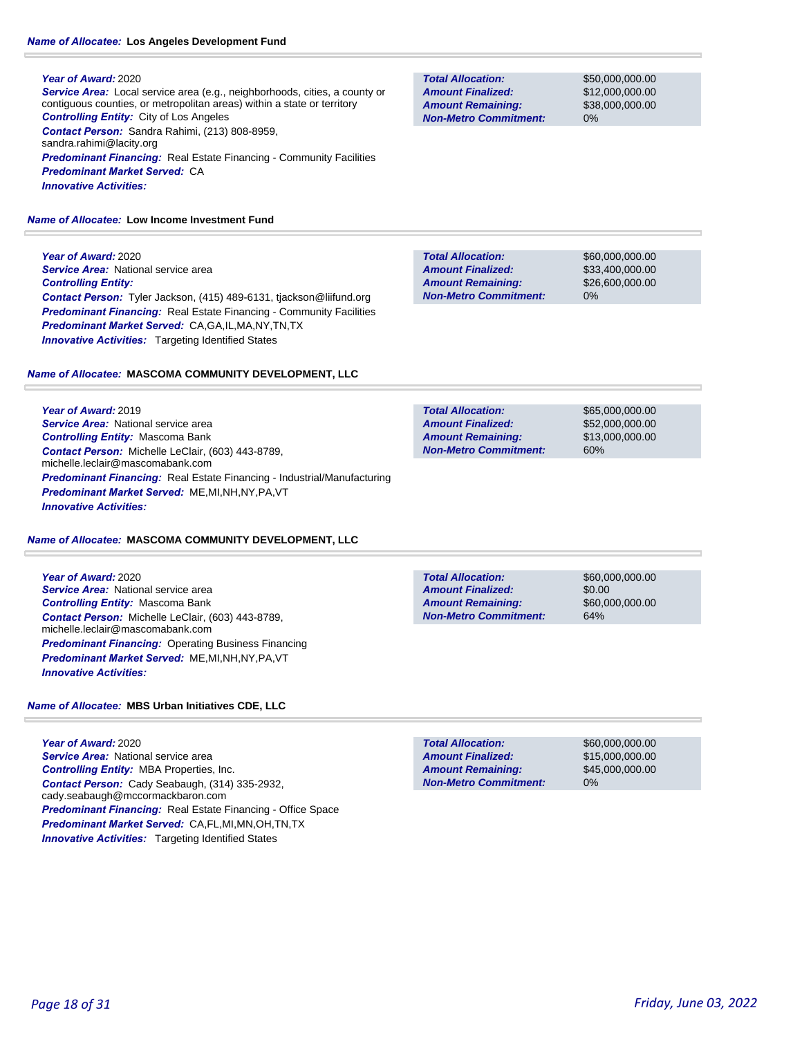## **Year of Award:** 2020

*Service Area:* Local service area (e.g., neighborhoods, cities, a county or contiguous counties, or metropolitan areas) within a state or territory *Controlling Entity:* City of Los Angeles *Contact Person:* Sandra Rahimi, (213) 808-8959, sandra.rahimi@lacity.org **Predominant Financing:** Real Estate Financing - Community Facilities *Predominant Market Served:* CA *Innovative Activities:* 

*Name of Allocatee:* **Low Income Investment Fund**

**Year of Award:** 2020 **Service Area:** National service area *Controlling Entity: Contact Person:* Tyler Jackson, (415) 489-6131, tjackson@liifund.org **Predominant Financing:** Real Estate Financing - Community Facilities *Predominant Market Served:* CA,GA,IL,MA,NY,TN,TX **Innovative Activities:** Targeting Identified States

## *Name of Allocatee:* **MASCOMA COMMUNITY DEVELOPMENT, LLC**

**Year of Award:** 2019 **Service Area: National service area** *Controlling Entity:* Mascoma Bank *Contact Person:* Michelle LeClair, (603) 443-8789, michelle.leclair@mascomabank.com *Predominant Financing:* Real Estate Financing - Industrial/Manufacturing *Predominant Market Served:* ME,MI,NH,NY,PA,VT *Innovative Activities:* 

## *Name of Allocatee:* **MASCOMA COMMUNITY DEVELOPMENT, LLC**

**Year of Award:** 2020 **Service Area:** National service area *Controlling Entity:* Mascoma Bank *Contact Person:* Michelle LeClair, (603) 443-8789, michelle.leclair@mascomabank.com *Predominant Financing:* Operating Business Financing *Predominant Market Served:* ME,MI,NH,NY,PA,VT *Innovative Activities:* 

## *Name of Allocatee:* **MBS Urban Initiatives CDE, LLC**

**Year of Award:** 2020 **Service Area: National service area** *Controlling Entity:* MBA Properties, Inc. *Contact Person:* Cady Seabaugh, (314) 335-2932, cady.seabaugh@mccormackbaron.com *Predominant Financing:* Real Estate Financing - Office Space *Predominant Market Served:* CA,FL,MI,MN,OH,TN,TX **Innovative Activities:** Targeting Identified States

**Total Allocation: Non-Metro Commitment: Amount Remaining: Amount Finalized:**

\$50,000,000.00 \$12,000,000.00 \$38,000,000.00 0%

**Total Allocation: Non-Metro Commitment: Amount Remaining: Amount Finalized:**

\$60,000,000.00 \$33,400,000.00 \$26,600,000.00 0%

**Total Allocation: Non-Metro Commitment: Amount Remaining: Amount Finalized:**

\$65,000,000.00 \$52,000,000.00 \$13,000,000.00 60%

**Total Allocation: Non-Metro Commitment: Amount Remaining: Amount Finalized:**

\$60,000,000.00 \$0.00 \$60,000,000.00 64%

\$60,000,000.00 \$15,000,000.00 \$45,000,000.00 0% **Total Allocation: Non-Metro Commitment: Amount Remaining: Amount Finalized:**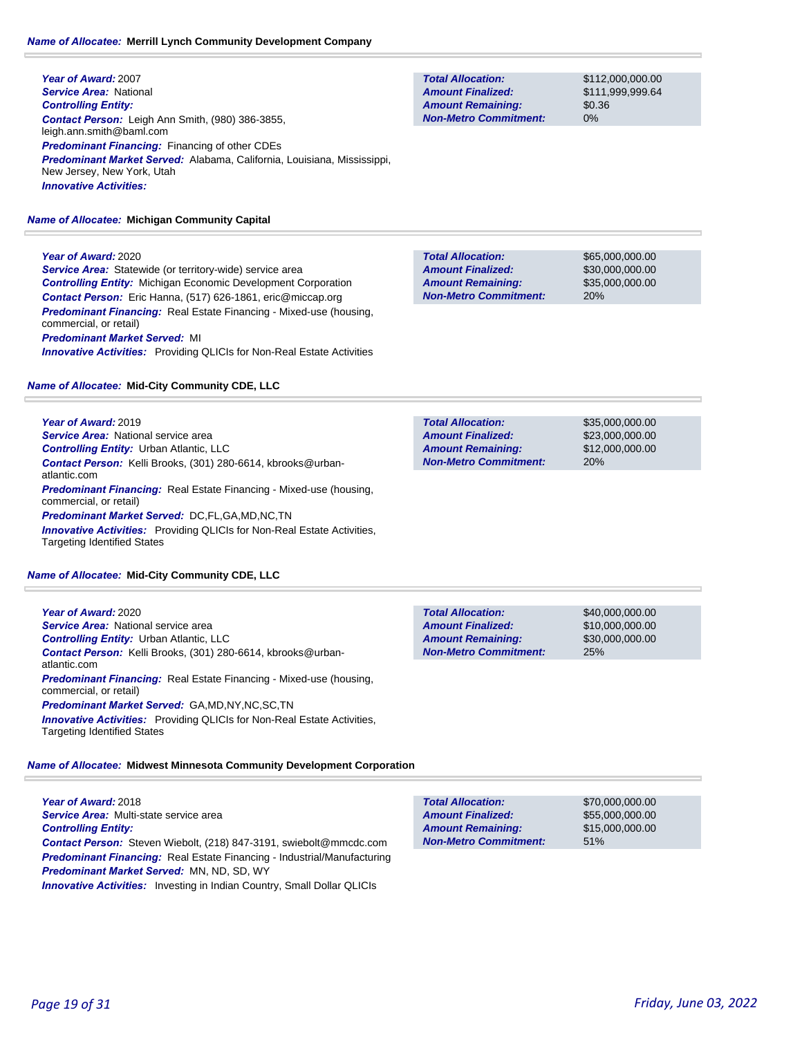#### *Name of Allocatee:* **Merrill Lynch Community Development Company**

**Year of Award:** 2007 *Service Area:* National *Controlling Entity: Contact Person:* Leigh Ann Smith, (980) 386-3855, leigh.ann.smith@baml.com *Predominant Financing:* Financing of other CDEs *Predominant Market Served:* Alabama, California, Louisiana, Mississippi, New Jersey, New York, Utah *Innovative Activities:* 

#### *Name of Allocatee:* **Michigan Community Capital**

**Year of Award:** 2020 **Service Area:** Statewide (or territory-wide) service area *Controlling Entity:* Michigan Economic Development Corporation *Contact Person:* Eric Hanna, (517) 626-1861, eric@miccap.org *Predominant Financing:* Real Estate Financing - Mixed-use (housing, commercial, or retail) *Predominant Market Served:* MI *Innovative Activities:* Providing QLICIs for Non-Real Estate Activities

#### *Name of Allocatee:* **Mid-City Community CDE, LLC**

**Year of Award:** 2019 **Service Area:** National service area *Controlling Entity:* Urban Atlantic, LLC *Contact Person:* Kelli Brooks, (301) 280-6614, kbrooks@urbanatlantic.com *Predominant Financing:* Real Estate Financing - Mixed-use (housing, commercial, or retail) *Predominant Market Served:* DC,FL,GA,MD,NC,TN *Innovative Activities:* Providing QLICIs for Non-Real Estate Activities, Targeting Identified States

*Name of Allocatee:* **Mid-City Community CDE, LLC**

Targeting Identified States

| <b>Year of Award:</b> 2020                                                                          | <b>Total Allocation:</b> |
|-----------------------------------------------------------------------------------------------------|--------------------------|
| <b>Service Area:</b> National service area                                                          | <b>Amount Finalized</b>  |
| <b>Controlling Entity: Urban Atlantic, LLC</b>                                                      | <b>Amount Remaini</b>    |
| Contact Person: Kelli Brooks, (301) 280-6614, kbrooks@urban-<br>atlantic.com                        | <b>Non-Metro Comn</b>    |
| <b>Predominant Financing:</b> Real Estate Financing - Mixed-use (housing,<br>commercial, or retail) |                          |
| <b>Predominant Market Served: GA,MD,NY,NC,SC,TN</b>                                                 |                          |
| <b>Innovative Activities:</b> Providing QLICIs for Non-Real Estate Activities,                      |                          |

*Name of Allocatee:* **Midwest Minnesota Community Development Corporation**

**Year of Award:** 2018 *Service Area:* Multi-state service area *Controlling Entity: Contact Person:* Steven Wiebolt, (218) 847-3191, swiebolt@mmcdc.com *Predominant Financing:* Real Estate Financing - Industrial/Manufacturing *Predominant Market Served:* MN, ND, SD, WY *Innovative Activities:* Investing in Indian Country, Small Dollar QLICIs

0% **Total Allocation: Non-Metro Commitment: Amount Remaining: Amount Finalized:**

\$112,000,000.00 \$111,999,999.64 \$0.36

**Total Allocation: Non-Metro Commitment: Amount Remaining: Amount Finalized:**

\$65,000,000.00 \$30,000,000.00 \$35,000,000.00 20%

| <b>Total Allocation:</b>     | \$35,000,000,00 |
|------------------------------|-----------------|
| <b>Amount Finalized:</b>     | \$23,000,000,00 |
| <b>Amount Remaining:</b>     | \$12,000,000,00 |
| <b>Non-Metro Commitment:</b> | 20%             |

| <b>Total Allocation:</b>     | \$40,000,000.00 |
|------------------------------|-----------------|
| <b>Amount Finalized:</b>     | \$10,000,000,00 |
| <b>Amount Remaining:</b>     | \$30,000,000,00 |
| <b>Non-Metro Commitment:</b> | 25%             |

| <b>Total Allocation:</b>     | \$70,000,000,00 |
|------------------------------|-----------------|
| <b>Amount Finalized:</b>     | \$55,000,000,00 |
| <b>Amount Remaining:</b>     | \$15,000,000,00 |
| <b>Non-Metro Commitment:</b> | 51%             |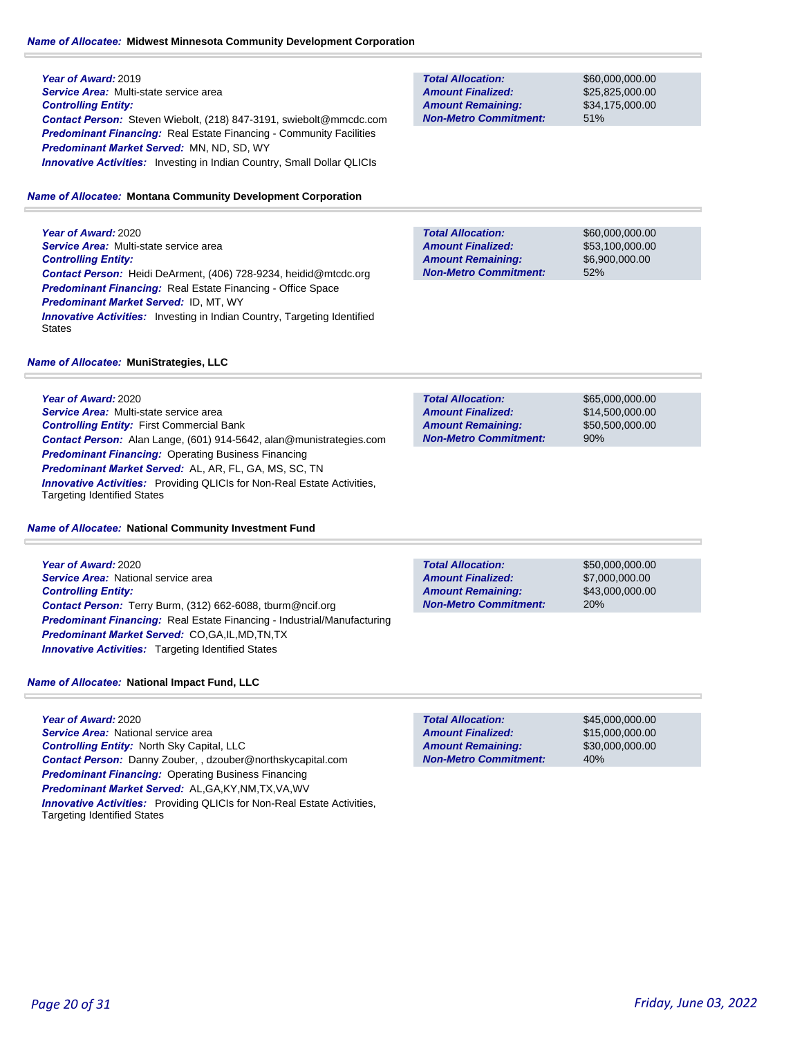# *Name of Allocatee:* **Midwest Minnesota Community Development Corporation**

**Year of Award:** 2019 *Service Area:* Multi-state service area *Controlling Entity: Contact Person:* Steven Wiebolt, (218) 847-3191, swiebolt@mmcdc.com *Predominant Financing:* Real Estate Financing - Community Facilities *Predominant Market Served:* MN, ND, SD, WY **Innovative Activities:** Investing in Indian Country, Small Dollar QLICIs

# *Name of Allocatee:* **Montana Community Development Corporation**

**Year of Award:** 2020 *Service Area:* Multi-state service area *Controlling Entity: Contact Person:* Heidi DeArment, (406) 728-9234, heidid@mtcdc.org *Predominant Financing:* Real Estate Financing - Office Space *Predominant Market Served:* ID, MT, WY **Innovative Activities:** Investing in Indian Country, Targeting Identified **States** 

# **Non-Metro Commitment: Amount Remaining:**

**Total Allocation:**

**Amount Finalized:**

\$60,000,000.00 \$25,825,000.00 \$34,175,000.00 51%

**Total Allocation: Non-Metro Commitment: Amount Remaining: Amount Finalized:**

**Total Allocation:**

**Non-Metro Commitment: Amount Remaining: Amount Finalized:**

\$60,000,000.00 \$53,100,000.00 \$6,900,000.00 52%

\$65,000,000.00 \$14,500,000.00 \$50,500,000.00

90%

## *Name of Allocatee:* **MuniStrategies, LLC**

**Year of Award:** 2020 *Service Area:* Multi-state service area *Controlling Entity:* First Commercial Bank *Contact Person:* Alan Lange, (601) 914-5642, alan@munistrategies.com *Predominant Financing:* Operating Business Financing *Predominant Market Served:* AL, AR, FL, GA, MS, SC, TN *Innovative Activities:* Providing QLICIs for Non-Real Estate Activities, Targeting Identified States

## *Name of Allocatee:* **National Community Investment Fund**

**Year of Award:** 2020 *Service Area:* National service area *Controlling Entity: Contact Person:* Terry Burm, (312) 662-6088, tburm@ncif.org *Predominant Financing:* Real Estate Financing - Industrial/Manufacturing *Predominant Market Served:* CO,GA,IL,MD,TN,TX *Innovative Activities:* Targeting Identified States

**Total Allocation: Non-Metro Commitment: Amount Remaining: Amount Finalized:**

**Total Allocation:**

**Non-Metro Commitment: Amount Remaining: Amount Finalized:**

\$50,000,000.00 \$7,000,000.00 \$43,000,000.00 20%

\$45,000,000.00 \$15,000,000.00 \$30,000,000.00

40%

*Name of Allocatee:* **National Impact Fund, LLC**

**Year of Award:** 2020 *Service Area:* National service area *Controlling Entity:* North Sky Capital, LLC *Contact Person:* Danny Zouber, , dzouber@northskycapital.com *Predominant Financing: Operating Business Financing Predominant Market Served:* AL,GA,KY,NM,TX,VA,WV *Innovative Activities:* Providing QLICIs for Non-Real Estate Activities, Targeting Identified States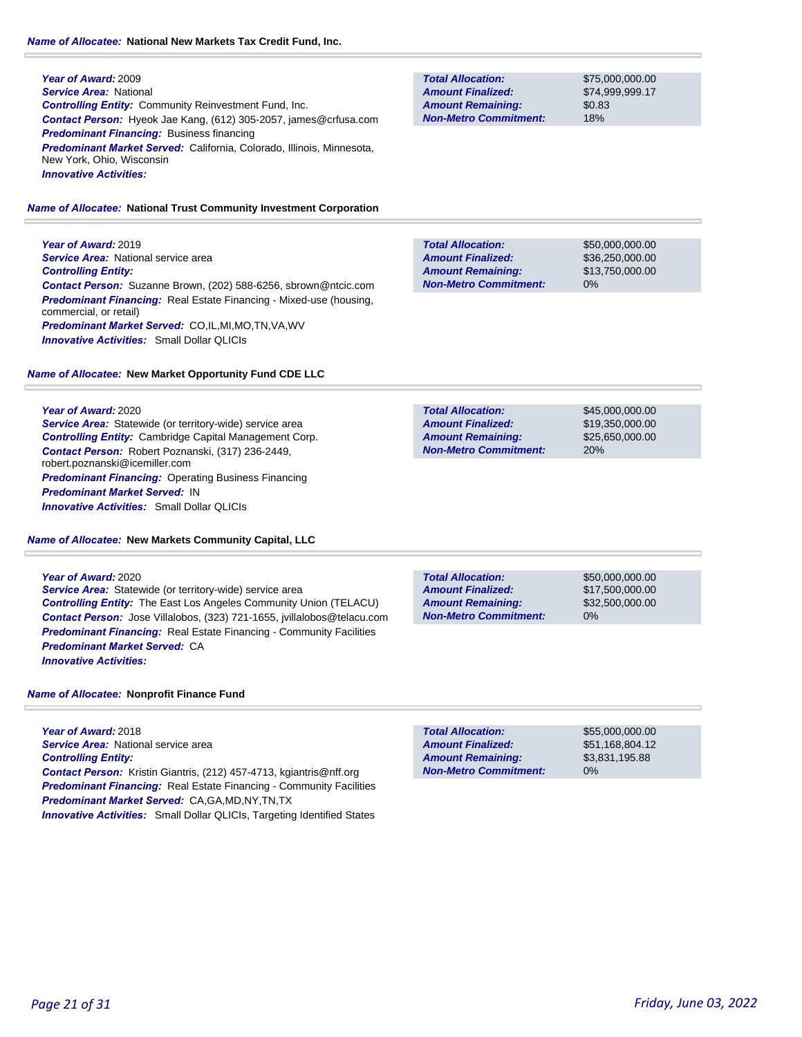**Year of Award:** 2009 *Service Area:* National *Controlling Entity:* Community Reinvestment Fund, Inc. *Contact Person:* Hyeok Jae Kang, (612) 305-2057, james@crfusa.com *Predominant Financing:* Business financing *Predominant Market Served:* California, Colorado, Illinois, Minnesota, New York, Ohio, Wisconsin *Innovative Activities:* 

#### *Name of Allocatee:* **National Trust Community Investment Corporation**

**Year of Award:** 2019 **Service Area:** National service area *Controlling Entity: Contact Person:* Suzanne Brown, (202) 588-6256, sbrown@ntcic.com *Predominant Financing:* Real Estate Financing - Mixed-use (housing, commercial, or retail) *Predominant Market Served:* CO,IL,MI,MO,TN,VA,WV *Innovative Activities:* Small Dollar QLICIs

#### *Name of Allocatee:* **New Market Opportunity Fund CDE LLC**

#### **Year of Award:** 2020

*Service Area:* Statewide (or territory-wide) service area *Controlling Entity:* Cambridge Capital Management Corp. *Contact Person:* Robert Poznanski, (317) 236-2449, robert.poznanski@icemiller.com *Predominant Financing: Operating Business Financing Predominant Market Served:* IN *Innovative Activities:* Small Dollar QLICIs

*Name of Allocatee:* **New Markets Community Capital, LLC**

#### **Year of Award:** 2020

*Service Area:* Statewide (or territory-wide) service area *Controlling Entity:* The East Los Angeles Community Union (TELACU) *Contact Person:* Jose Villalobos, (323) 721-1655, jvillalobos@telacu.com **Predominant Financing:** Real Estate Financing - Community Facilities *Predominant Market Served:* CA *Innovative Activities:* 

*Name of Allocatee:* **Nonprofit Finance Fund**

**Year of Award:** 2018 *Service Area:* National service area *Controlling Entity: Contact Person:* Kristin Giantris, (212) 457-4713, kgiantris@nff.org **Predominant Financing:** Real Estate Financing - Community Facilities *Predominant Market Served:* CA,GA,MD,NY,TN,TX *Innovative Activities:* Small Dollar QLICIs, Targeting Identified States

## **Total Allocation: Non-Metro Commitment: Amount Remaining: Amount Finalized:**

\$75,000,000.00 \$74,999,999.17 \$0.83 18%

\$50,000,000.00 \$36,250,000.00 \$13,750,000.00 0% **Total Allocation: Non-Metro Commitment: Amount Remaining: Amount Finalized:**

**Total Allocation: Non-Metro Commitment: Amount Remaining: Amount Finalized:**

\$45,000,000.00 \$19,350,000.00 \$25,650,000.00 20%

**Total Allocation: Non-Metro Commitment: Amount Remaining: Amount Finalized:**

\$50,000,000.00 \$17,500,000.00 \$32,500,000.00 0%

\$55,000,000.00 \$51,168,804.12 \$3,831,195.88 0% **Total Allocation: Non-Metro Commitment: Amount Remaining: Amount Finalized:**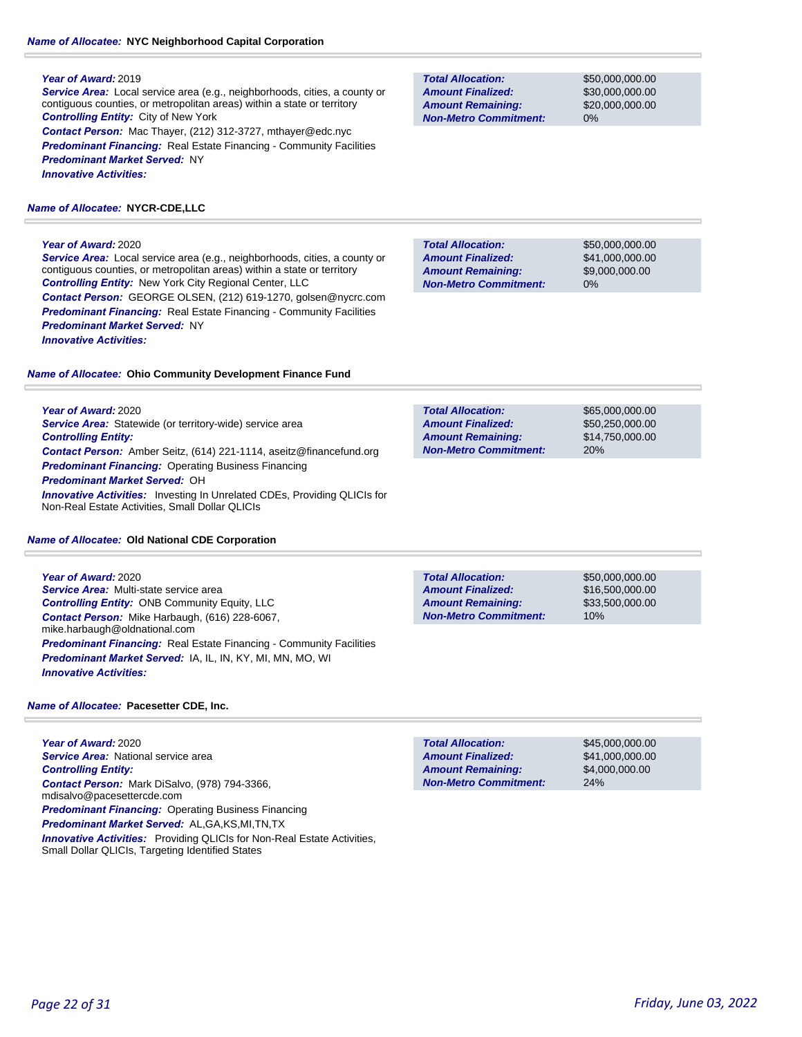# *Name of Allocatee:* **NYC Neighborhood Capital Corporation**

## **Year of Award:** 2019

*Service Area:* Local service area (e.g., neighborhoods, cities, a county or contiguous counties, or metropolitan areas) within a state or territory *Controlling Entity:* City of New York *Contact Person:* Mac Thayer, (212) 312-3727, mthayer@edc.nyc **Predominant Financing:** Real Estate Financing - Community Facilities *Predominant Market Served:* NY *Innovative Activities:* 

# *Name of Allocatee:* **NYCR-CDE,LLC**

## **Year of Award:** 2020

*Service Area:* Local service area (e.g., neighborhoods, cities, a county or contiguous counties, or metropolitan areas) within a state or territory *Controlling Entity:* New York City Regional Center, LLC *Contact Person:* GEORGE OLSEN, (212) 619-1270, golsen@nycrc.com **Predominant Financing:** Real Estate Financing - Community Facilities *Predominant Market Served:* NY *Innovative Activities:* 

## *Name of Allocatee:* **Ohio Community Development Finance Fund**

**Year of Award:** 2020

*Service Area:* Statewide (or territory-wide) service area *Controlling Entity: Contact Person:* Amber Seitz, (614) 221-1114, aseitz@financefund.org *Predominant Financing:* Operating Business Financing *Predominant Market Served:* OH *Innovative Activities:* Investing In Unrelated CDEs, Providing QLICIs for Non-Real Estate Activities, Small Dollar QLICIs

## *Name of Allocatee:* **Old National CDE Corporation**

## **Year of Award:** 2020

*Service Area:* Multi-state service area *Controlling Entity:* ONB Community Equity, LLC *Contact Person:* Mike Harbaugh, (616) 228-6067, mike.harbaugh@oldnational.com **Predominant Financing:** Real Estate Financing - Community Facilities *Predominant Market Served:* IA, IL, IN, KY, MI, MN, MO, WI *Innovative Activities:* 

## *Name of Allocatee:* **Pacesetter CDE, Inc.**

**Year of Award:** 2020 **Service Area: National service area** *Controlling Entity: Contact Person:* Mark DiSalvo, (978) 794-3366, mdisalvo@pacesettercde.com **Predominant Financing: Operating Business Financing** *Predominant Market Served:* AL,GA,KS,MI,TN,TX **Innovative Activities:** Providing QLICIs for Non-Real Estate Activities, Small Dollar QLICIs, Targeting Identified States

**Total Allocation: Non-Metro Commitment: Amount Remaining: Amount Finalized:**

\$50,000,000.00 \$30,000,000.00 \$20,000,000.00 0%

\$50,000,000.00 \$41,000,000.00 \$9,000,000.00 0% **Total Allocation: Non-Metro Commitment: Amount Remaining: Amount Finalized:**

**Total Allocation: Non-Metro Commitment: Amount Remaining: Amount Finalized:**

\$65,000,000.00 \$50,250,000.00 \$14,750,000.00 20%

**Total Allocation: Non-Metro Commitment: Amount Remaining: Amount Finalized:**

\$50,000,000.00 \$16,500,000.00 \$33,500,000.00 10%

\$45,000,000.00 \$41,000,000.00 \$4,000,000.00 24% **Total Allocation: Non-Metro Commitment: Amount Remaining: Amount Finalized:**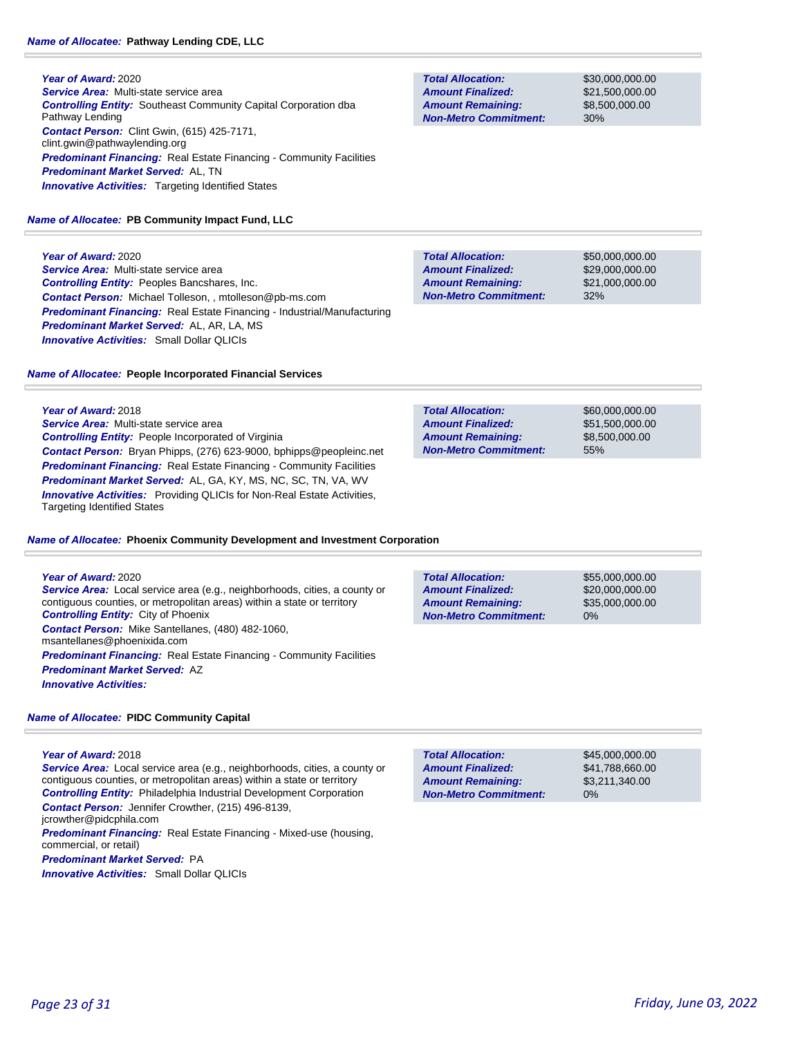**Year of Award:** 2020 *Service Area:* Multi-state service area *Controlling Entity:* Southeast Community Capital Corporation dba Pathway Lending *Contact Person:* Clint Gwin, (615) 425-7171, clint.gwin@pathwaylending.org **Predominant Financing:** Real Estate Financing - Community Facilities *Predominant Market Served:* AL, TN **Innovative Activities:** Targeting Identified States

## *Name of Allocatee:* **PB Community Impact Fund, LLC**

**Year of Award:** 2020 *Service Area:* Multi-state service area *Controlling Entity:* Peoples Bancshares, Inc. *Contact Person:* Michael Tolleson, , mtolleson@pb-ms.com *Predominant Financing:* Real Estate Financing - Industrial/Manufacturing *Predominant Market Served:* AL, AR, LA, MS *Innovative Activities:* Small Dollar QLICIs

## *Name of Allocatee:* **People Incorporated Financial Services**

**Year of Award:** 2018 *Service Area:* Multi-state service area *Controlling Entity:* People Incorporated of Virginia *Contact Person:* Bryan Phipps, (276) 623-9000, bphipps@peopleinc.net **Predominant Financing:** Real Estate Financing - Community Facilities *Predominant Market Served:* AL, GA, KY, MS, NC, SC, TN, VA, WV *Innovative Activities:* Providing QLICIs for Non-Real Estate Activities, Targeting Identified States

#### *Name of Allocatee:* **Phoenix Community Development and Investment Corporation**

#### **Year of Award:** 2020

*Service Area:* Local service area (e.g., neighborhoods, cities, a county or contiguous counties, or metropolitan areas) within a state or territory *Controlling Entity:* City of Phoenix *Contact Person:* Mike Santellanes, (480) 482-1060, msantellanes@phoenixida.com **Predominant Financing:** Real Estate Financing - Community Facilities *Predominant Market Served:* AZ *Innovative Activities:* 

#### *Name of Allocatee:* **PIDC Community Capital**

#### **Year of Award:** 2018

*Service Area:* Local service area (e.g., neighborhoods, cities, a county or contiguous counties, or metropolitan areas) within a state or territory *Controlling Entity:* Philadelphia Industrial Development Corporation

*Contact Person:* Jennifer Crowther, (215) 496-8139, jcrowther@pidcphila.com

*Predominant Financing:* Real Estate Financing - Mixed-use (housing, commercial, or retail)

*Predominant Market Served:* PA

*Innovative Activities:* Small Dollar QLICIs

**Total Allocation: Non-Metro Commitment: Amount Remaining: Amount Finalized:**

\$30,000,000.00 \$21,500,000.00 \$8,500,000.00 30%

**Total Allocation: Non-Metro Commitment: Amount Remaining: Amount Finalized:**

\$50,000,000.00 \$29,000,000.00 \$21,000,000.00 32%

**Total Allocation: Non-Metro Commitment: Amount Remaining: Amount Finalized:**

\$60,000,000.00 \$51,500,000.00 \$8,500,000.00 55%

**Total Allocation: Non-Metro Commitment: Amount Remaining: Amount Finalized:**

\$55,000,000.00 \$20,000,000.00 \$35,000,000.00 0%

0% **Total Allocation: Non-Metro Commitment: Amount Remaining: Amount Finalized:**

\$45,000,000.00 \$41,788,660.00 \$3,211,340.00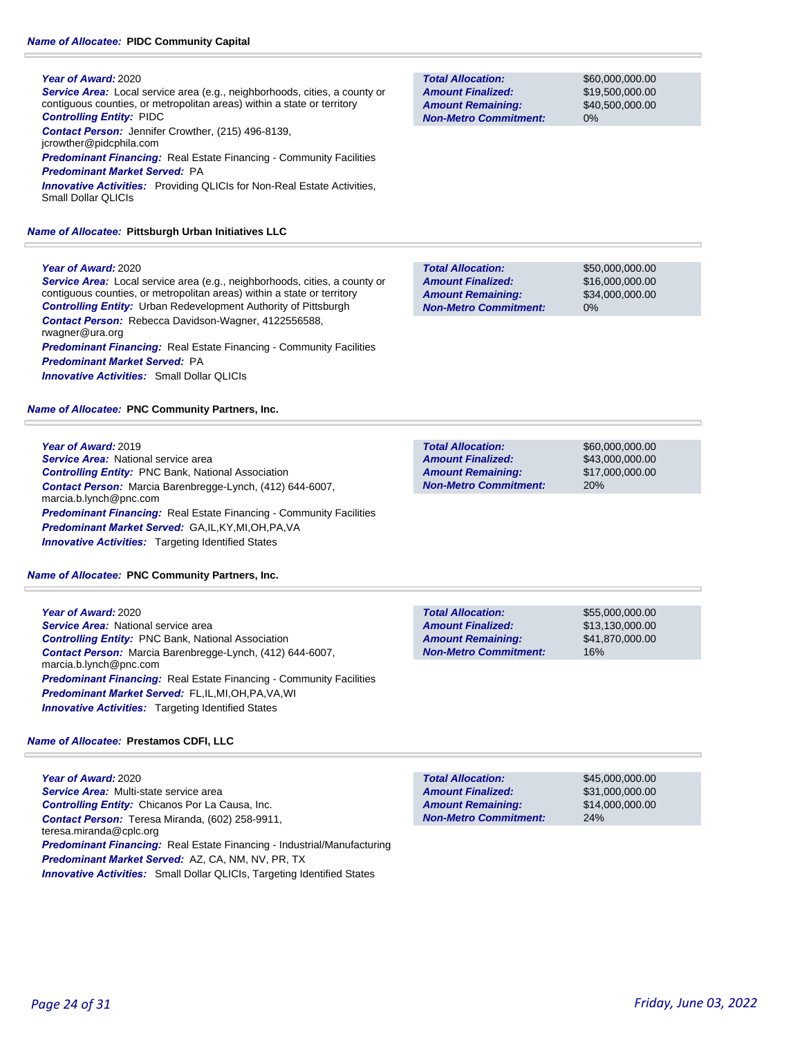## *Name of Allocatee:* **PIDC Community Capital**

## **Year of Award:** 2020

*Service Area:* Local service area (e.g., neighborhoods, cities, a county or contiguous counties, or metropolitan areas) within a state or territory *Controlling Entity:* PIDC *Contact Person:* Jennifer Crowther, (215) 496-8139,

jcrowther@pidcphila.com

**Predominant Financing:** Real Estate Financing - Community Facilities *Predominant Market Served:* PA

*Innovative Activities:* Providing QLICIs for Non-Real Estate Activities, Small Dollar QLICIs

## *Name of Allocatee:* **Pittsburgh Urban Initiatives LLC**

# **Year of Award:** 2020

*Service Area:* Local service area (e.g., neighborhoods, cities, a county or contiguous counties, or metropolitan areas) within a state or territory *Controlling Entity:* Urban Redevelopment Authority of Pittsburgh *Contact Person:* Rebecca Davidson-Wagner, 4122556588, rwagner@ura.org **Predominant Financing:** Real Estate Financing - Community Facilities *Predominant Market Served:* PA *Innovative Activities:* Small Dollar QLICIs

*Name of Allocatee:* **PNC Community Partners, Inc.**

# **Year of Award:** 2019

**Service Area:** National service area *Controlling Entity:* PNC Bank, National Association *Contact Person:* Marcia Barenbregge-Lynch, (412) 644-6007, marcia.b.lynch@pnc.com **Predominant Financing:** Real Estate Financing - Community Facilities *Predominant Market Served:* GA,IL,KY,MI,OH,PA,VA **Innovative Activities:** Targeting Identified States

*Name of Allocatee:* **PNC Community Partners, Inc.**

| Year of Award: 2020                                                                        | <b>Total Allocation:</b>     | \$ |
|--------------------------------------------------------------------------------------------|------------------------------|----|
| <b>Service Area:</b> National service area                                                 | <b>Amount Finalized:</b>     | \$ |
| <b>Controlling Entity: PNC Bank, National Association</b>                                  | <b>Amount Remaining:</b>     | \$ |
| <b>Contact Person:</b> Marcia Barenbregge-Lynch, (412) 644-6007,<br>marcia.b.lynch@pnc.com | <b>Non-Metro Commitment:</b> |    |
| <b>Predominant Financing:</b> Real Estate Financing - Community Facilities                 |                              |    |
| <b>Predominant Market Served: FL,IL,MI,OH,PA,VA,WI</b>                                     |                              |    |
| <b>Innovative Activities:</b> Targeting Identified States                                  |                              |    |

# *Name of Allocatee:* **Prestamos CDFI, LLC**

**Year of Award:** 2020 *Service Area:* Multi-state service area *Controlling Entity:* Chicanos Por La Causa, Inc. *Contact Person:* Teresa Miranda, (602) 258-9911, teresa.miranda@cplc.org *Predominant Financing:* Real Estate Financing - Industrial/Manufacturing *Predominant Market Served:* AZ, CA, NM, NV, PR, TX **Innovative Activities:** Small Dollar QLICIs, Targeting Identified States

| <b>Total Allocation:</b>     | \$45,000,000,00 |
|------------------------------|-----------------|
| <b>Amount Finalized:</b>     | \$31,000,000,00 |
| <b>Amount Remaining:</b>     | \$14,000,000,00 |
| <b>Non-Metro Commitment:</b> | 24%             |
|                              |                 |

| <b>Total Allocation:</b>     |
|------------------------------|
| <b>Amount Finalized:</b>     |
| <b>Amount Remaining:</b>     |
| <b>Non-Metro Commitment:</b> |

**Total Allocation:**

**Non-Metro Commitment: Amount Remaining: Amount Finalized:**

**Non-Metro Commitment:**

\$60,000,000.00 \$19,500,000.00 \$40,500,000.00 0%

\$50,000,000.00 \$16,000,000.00 \$34,000,000.00

0%

20%

\$60,000,000.00 \$43,000,000.00 \$17,000,000.00 **Total Allocation: Amount Remaining: Amount Finalized:**

\$55,000,000.00 13,130,000.00 \$41,870,000.00 16%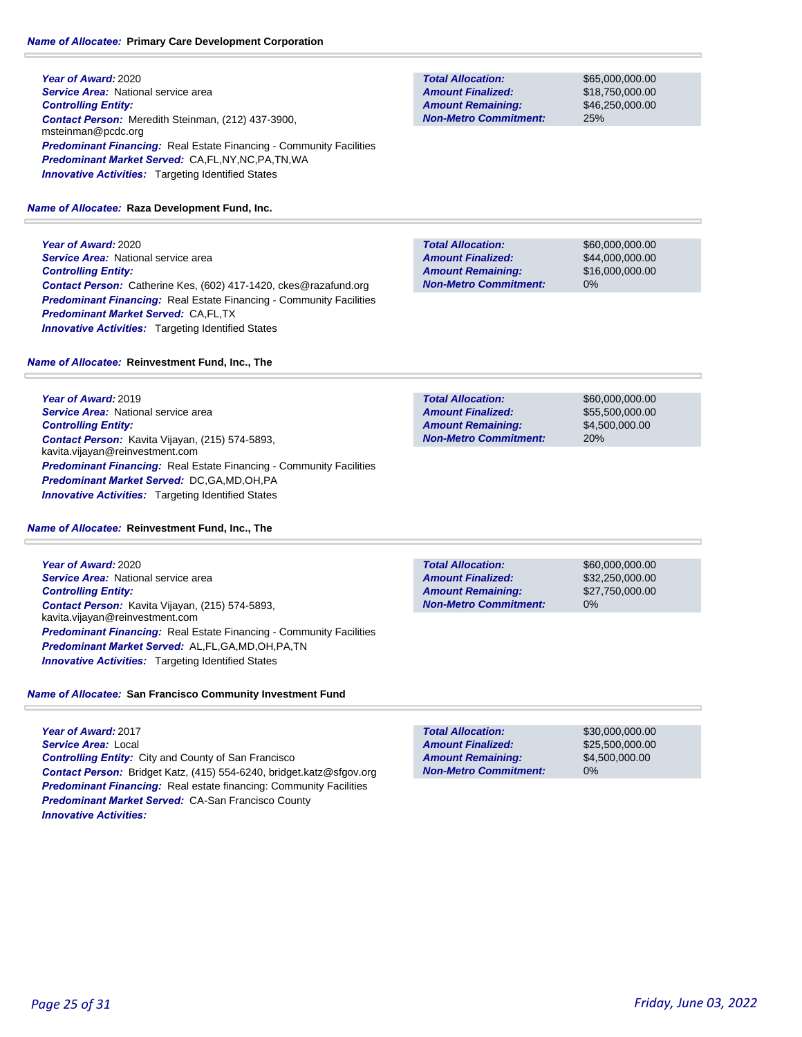**Year of Award:** 2020 **Service Area:** National service area *Controlling Entity: Contact Person:* Meredith Steinman, (212) 437-3900, msteinman@pcdc.org **Predominant Financing:** Real Estate Financing - Community Facilities *Predominant Market Served:* CA,FL,NY,NC,PA,TN,WA **Innovative Activities:** Targeting Identified States

## *Name of Allocatee:* **Raza Development Fund, Inc.**

**Year of Award:** 2020 **Service Area:** National service area *Controlling Entity: Contact Person:* Catherine Kes, (602) 417-1420, ckes@razafund.org **Predominant Financing:** Real Estate Financing - Community Facilities *Predominant Market Served:* CA,FL,TX **Innovative Activities:** Targeting Identified States

*Name of Allocatee:* **Reinvestment Fund, Inc., The**

**Year of Award:** 2019 *Service Area:* National service area *Controlling Entity: Contact Person:* Kavita Vijayan, (215) 574-5893, kavita.vijayan@reinvestment.com **Predominant Financing:** Real Estate Financing - Community Facilities *Predominant Market Served:* DC,GA,MD,OH,PA **Innovative Activities:** Targeting Identified States

## *Name of Allocatee:* **Reinvestment Fund, Inc., The**

**Year of Award:** 2020 **Service Area:** National service area *Controlling Entity: Contact Person:* Kavita Vijayan, (215) 574-5893, kavita.vijayan@reinvestment.com **Predominant Financing:** Real Estate Financing - Community Facilities *Predominant Market Served:* AL,FL,GA,MD,OH,PA,TN **Innovative Activities:** Targeting Identified States

# *Name of Allocatee:* **San Francisco Community Investment Fund**

**Year of Award:** 2017 *Service Area:* Local *Controlling Entity:* City and County of San Francisco *Contact Person:* Bridget Katz, (415) 554-6240, bridget.katz@sfgov.org **Predominant Financing:** Real estate financing: Community Facilities *Predominant Market Served:* CA-San Francisco County *Innovative Activities:* 

**Total Allocation: Non-Metro Commitment: Amount Remaining: Amount Finalized:**

\$65,000,000.00 \$18,750,000.00 \$46,250,000.00 25%

\$60,000,000.00 \$44,000,000.00 \$16,000,000.00 0% **Total Allocation: Non-Metro Commitment: Amount Remaining: Amount Finalized:**

\$60,000,000.00 \$55,500,000.00 \$4,500,000.00 20% **Total Allocation: Non-Metro Commitment: Amount Remaining: Amount Finalized:**

**Total Allocation: Non-Metro Commitment: Amount Remaining: Amount Finalized:**

\$60,000,000.00 \$32,250,000.00 \$27,750,000.00 0%

0% **Total Allocation: Non-Metro Commitment: Amount Remaining: Amount Finalized:**

\$30,000,000.00 \$25,500,000.00 \$4,500,000.00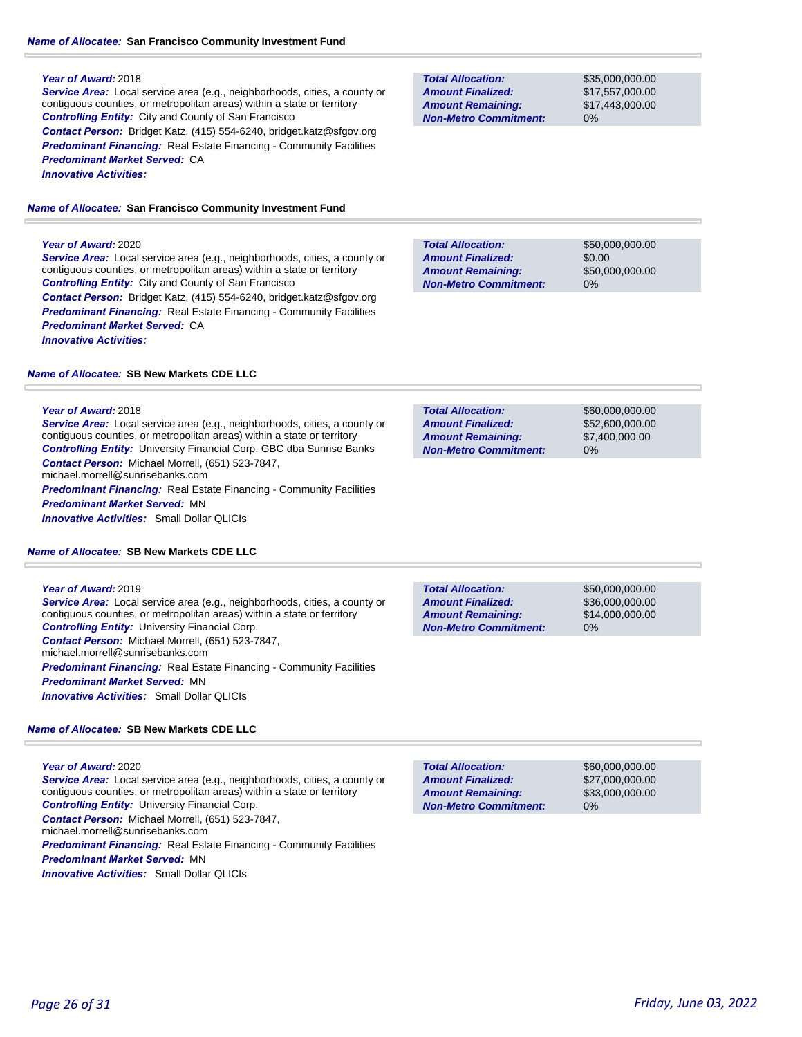## *Name of Allocatee:* **San Francisco Community Investment Fund**

## **Year of Award:** 2018

*Service Area:* Local service area (e.g., neighborhoods, cities, a county or contiguous counties, or metropolitan areas) within a state or territory *Controlling Entity:* City and County of San Francisco *Contact Person:* Bridget Katz, (415) 554-6240, bridget.katz@sfgov.org **Predominant Financing:** Real Estate Financing - Community Facilities *Predominant Market Served:* CA *Innovative Activities:* 

*Name of Allocatee:* **San Francisco Community Investment Fund**

## **Year of Award:** 2020

*Service Area:* Local service area (e.g., neighborhoods, cities, a county or contiguous counties, or metropolitan areas) within a state or territory *Controlling Entity:* City and County of San Francisco *Contact Person:* Bridget Katz, (415) 554-6240, bridget.katz@sfgov.org **Predominant Financing:** Real Estate Financing - Community Facilities *Predominant Market Served:* CA *Innovative Activities:* 

# *Name of Allocatee:* **SB New Markets CDE LLC**

## **Year of Award:** 2018

*Service Area:* Local service area (e.g., neighborhoods, cities, a county or contiguous counties, or metropolitan areas) within a state or territory *Controlling Entity:* University Financial Corp. GBC dba Sunrise Banks *Contact Person:* Michael Morrell, (651) 523-7847, michael.morrell@sunrisebanks.com *Predominant Financing:* Real Estate Financing - Community Facilities

*Predominant Market Served:* MN

*Innovative Activities:* Small Dollar QLICIs

## *Name of Allocatee:* **SB New Markets CDE LLC**

## **Year of Award:** 2019

*Service Area:* Local service area (e.g., neighborhoods, cities, a county or contiguous counties, or metropolitan areas) within a state or territory *Controlling Entity:* University Financial Corp. *Contact Person:* Michael Morrell, (651) 523-7847, michael.morrell@sunrisebanks.com **Predominant Financing:** Real Estate Financing - Community Facilities *Predominant Market Served:* MN *Innovative Activities:* Small Dollar QLICIs

## *Name of Allocatee:* **SB New Markets CDE LLC**

## **Year of Award:** 2020

*Service Area:* Local service area (e.g., neighborhoods, cities, a county or contiguous counties, or metropolitan areas) within a state or territory *Controlling Entity:* University Financial Corp. *Contact Person:* Michael Morrell, (651) 523-7847, michael.morrell@sunrisebanks.com

*Predominant Financing:* Real Estate Financing - Community Facilities *Predominant Market Served:* MN

*Innovative Activities:* Small Dollar QLICIs

| <b>Total Allocation:</b>     | \$35,000,000,00 |
|------------------------------|-----------------|
| <b>Amount Finalized:</b>     | \$17.557.000.00 |
| <b>Amount Remaining:</b>     | \$17.443.000.00 |
| <b>Non-Metro Commitment:</b> | $0\%$           |

\$50,000,000.00 \$0.00 \$50,000,000.00 0% **Total Allocation: Non-Metro Commitment: Amount Remaining: Amount Finalized:**

**Total Allocation: Non-Metro Commitment: Amount Remaining: Amount Finalized:**

\$60,000,000.00 \$52,600,000.00 \$7,400,000.00 0%

\$50,000,000.00 0% **Total Allocation: Non-Metro Commitment: Amount Remaining: Amount Finalized:**

\$36,000,000.00 \$14,000,000.00

**Total Allocation: Non-Metro Commitment: Amount Remaining: Amount Finalized:**

\$60,000,000.00 \$27,000,000.00 \$33,000,000.00 0%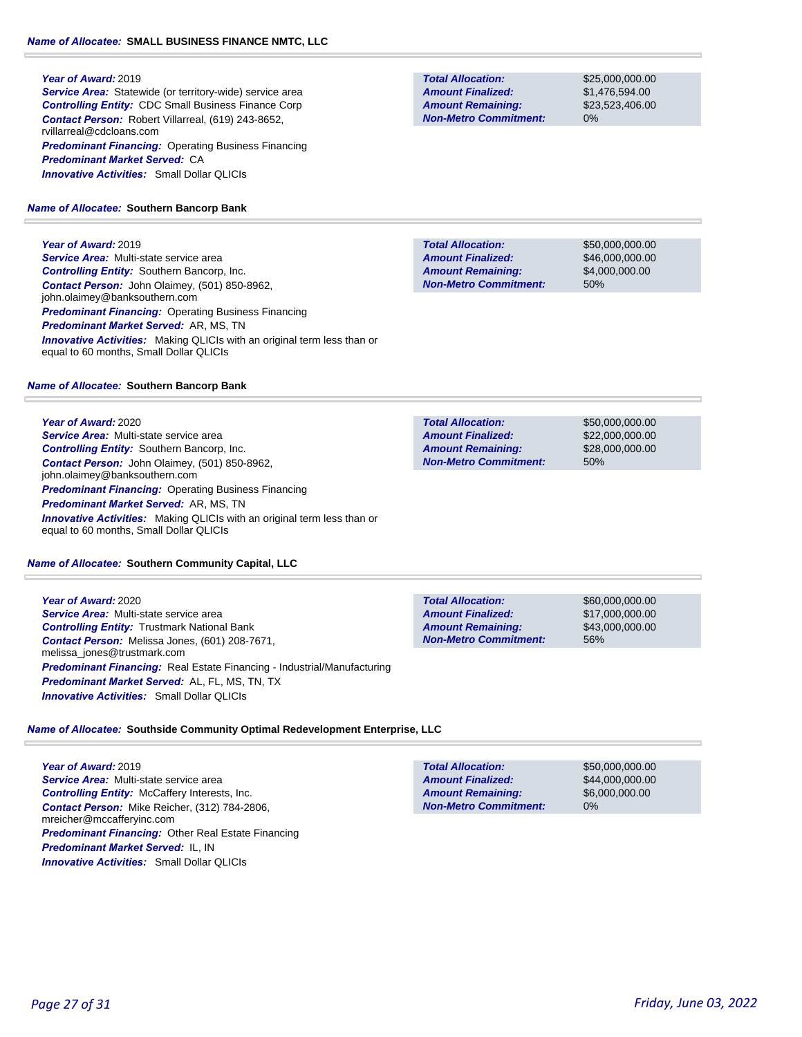## **Year of Award:** 2019

**Service Area:** Statewide (or territory-wide) service area *Controlling Entity:* CDC Small Business Finance Corp *Contact Person:* Robert Villarreal, (619) 243-8652, rvillarreal@cdcloans.com *Predominant Financing:* Operating Business Financing *Predominant Market Served:* CA *Innovative Activities:* Small Dollar QLICIs

# *Name of Allocatee:* **Southern Bancorp Bank**

# **Year of Award:** 2019

*Service Area:* Multi-state service area *Controlling Entity:* Southern Bancorp, Inc. *Contact Person:* John Olaimey, (501) 850-8962, john.olaimey@banksouthern.com *Predominant Financing: Operating Business Financing Predominant Market Served:* AR, MS, TN *Innovative Activities:* Making QLICIs with an original term less than or equal to 60 months, Small Dollar QLICIs

# *Name of Allocatee:* **Southern Bancorp Bank**

**Year of Award:** 2020 *Service Area:* Multi-state service area *Controlling Entity:* Southern Bancorp, Inc. *Contact Person:* John Olaimey, (501) 850-8962, john.olaimey@banksouthern.com *Predominant Financing:* Operating Business Financing *Predominant Market Served:* AR, MS, TN **Innovative Activities:** Making QLICIs with an original term less than or equal to 60 months, Small Dollar QLICIs

# *Name of Allocatee:* **Southern Community Capital, LLC**

**Year of Award:** 2020 *Service Area:* Multi-state service area *Controlling Entity:* Trustmark National Bank *Contact Person:* Melissa Jones, (601) 208-7671, melissa\_jones@trustmark.com *Predominant Financing:* Real Estate Financing - Industrial/Manufacturing *Predominant Market Served:* AL, FL, MS, TN, TX *Innovative Activities:* Small Dollar QLICIs

**Total Allocation: Non-Metro Commitment: Amount Remaining: Amount Finalized:**

\$60,000,000.00 \$17,000,000.00 \$43,000,000.00 56%

*Name of Allocatee:* **Southside Community Optimal Redevelopment Enterprise, LLC**

**Year of Award:** 2019 *Service Area:* Multi-state service area *Controlling Entity:* McCaffery Interests, Inc. *Contact Person:* Mike Reicher, (312) 784-2806, mreicher@mccafferyinc.com *Predominant Financing:* Other Real Estate Financing *Predominant Market Served:* IL, IN *Innovative Activities:* Small Dollar QLICIs

#### \$50,000,000.00 \$44,000,000.00 \$6,000,000.00 0% **Total Allocation: Non-Metro Commitment: Amount Remaining: Amount Finalized:**

# *Page 27 of 31 Friday, June 03, 2022*

**Total Allocation: Non-Metro Commitment: Amount Remaining: Amount Finalized:**

\$25,000,000.00 \$1,476,594.00 \$23,523,406.00 0%

\$50,000,000.00 \$46,000,000.00 \$4,000,000.00 50% **Total Allocation: Non-Metro Commitment: Amount Remaining: Amount Finalized:**

**Total Allocation: Non-Metro Commitment: Amount Remaining: Amount Finalized:**

\$50,000,000.00 \$22,000,000.00 \$28,000,000.00 50%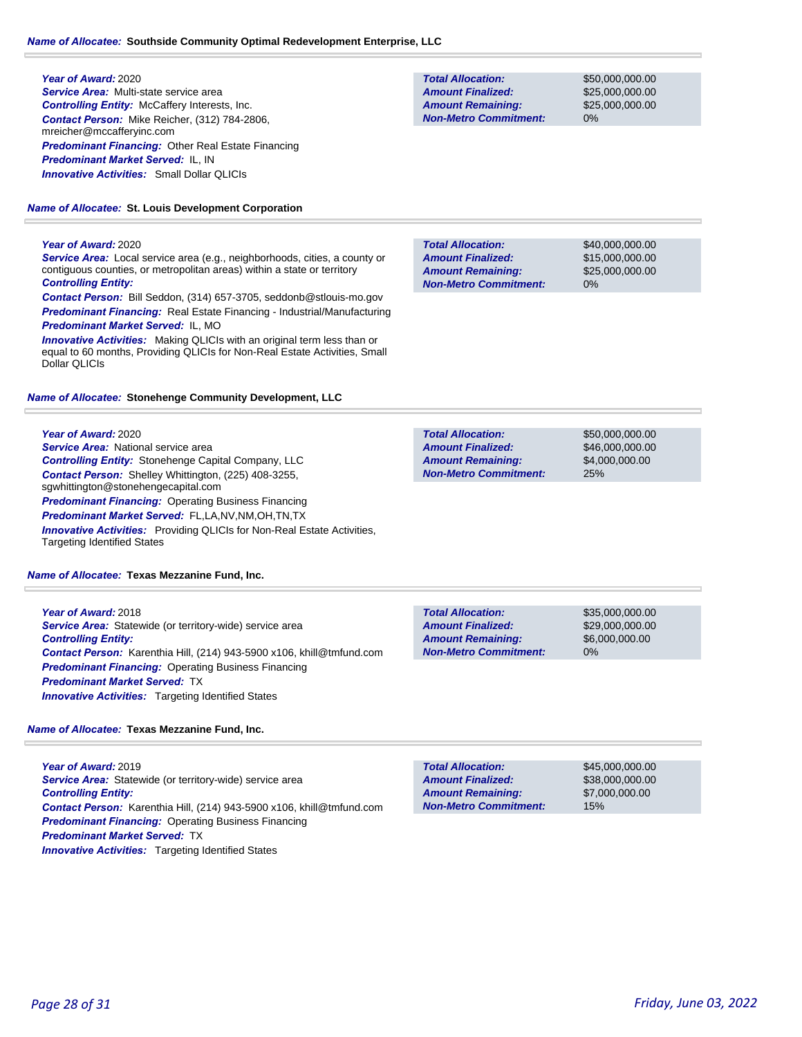#### **Year of Award:** 2020

*Service Area:* Multi-state service area *Controlling Entity:* McCaffery Interests, Inc. *Contact Person:* Mike Reicher, (312) 784-2806, mreicher@mccafferyinc.com *Predominant Financing:* Other Real Estate Financing *Predominant Market Served:* IL, IN *Innovative Activities:* Small Dollar QLICIs

*Name of Allocatee:* **St. Louis Development Corporation**

#### **Year of Award:** 2020

*Service Area:* Local service area (e.g., neighborhoods, cities, a county or contiguous counties, or metropolitan areas) within a state or territory *Controlling Entity:* 

*Contact Person:* Bill Seddon, (314) 657-3705, seddonb@stlouis-mo.gov *Predominant Financing:* Real Estate Financing - Industrial/Manufacturing *Predominant Market Served:* IL, MO

*Innovative Activities:* Making QLICIs with an original term less than or equal to 60 months, Providing QLICIs for Non-Real Estate Activities, Small Dollar QLICIs

#### *Name of Allocatee:* **Stonehenge Community Development, LLC**

**Year of Award:** 2020 *Service Area:* National service area *Controlling Entity:* Stonehenge Capital Company, LLC *Contact Person:* Shelley Whittington, (225) 408-3255, sgwhittington@stonehengecapital.com *Predominant Financing: Operating Business Financing Predominant Market Served:* FL,LA,NV,NM,OH,TN,TX *Innovative Activities:* Providing QLICIs for Non-Real Estate Activities,

*Name of Allocatee:* **Texas Mezzanine Fund, Inc.**

Targeting Identified States

**Year of Award:** 2018 **Service Area:** Statewide (or territory-wide) service area *Controlling Entity: Contact Person:* Karenthia Hill, (214) 943-5900 x106, khill@tmfund.com *Predominant Financing: Operating Business Financing Predominant Market Served:* TX *Innovative Activities:* Targeting Identified States

# *Name of Allocatee:* **Texas Mezzanine Fund, Inc.**

**Year of Award:** 2019 *Service Area:* Statewide (or territory-wide) service area *Controlling Entity: Contact Person:* Karenthia Hill, (214) 943-5900 x106, khill@tmfund.com *Predominant Financing:* Operating Business Financing *Predominant Market Served:* TX **Innovative Activities:** Targeting Identified States

**Total Allocation: Non-Metro Commitment: Amount Remaining: Amount Finalized:**

\$50,000,000.00 \$25,000,000.00 \$25,000,000.00 0%

\$40,000,000.00 \$15,000,000.00 \$25,000,000.00 0% **Total Allocation: Non-Metro Commitment: Amount Remaining: Amount Finalized:**

\$50,000,000.00 \$46,000,000.00 \$4,000,000.00 25% **Total Allocation: Non-Metro Commitment: Amount Remaining: Amount Finalized:**

**Total Allocation: Non-Metro Commitment: Amount Remaining: Amount Finalized:**

\$35,000,000.00 \$29,000,000.00 \$6,000,000.00 0%

\$45,000,000.00 \$38,000,000.00 \$7,000,000.00 15% **Total Allocation: Non-Metro Commitment: Amount Remaining: Amount Finalized:**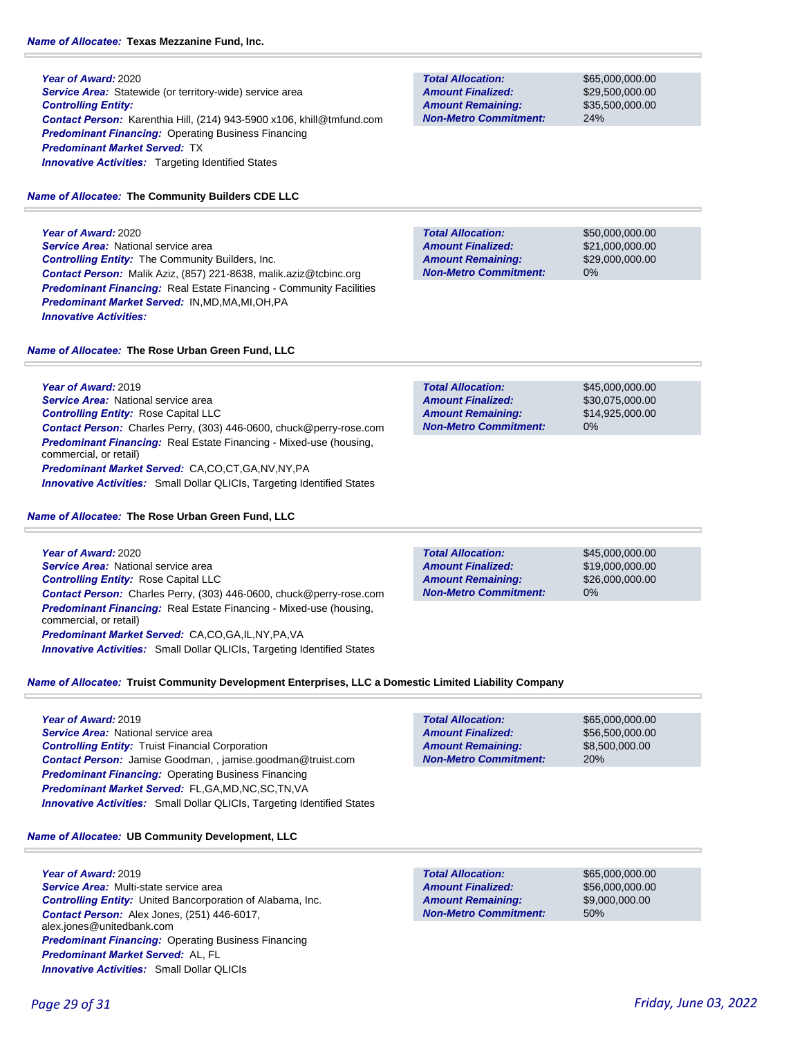**Year of Award:** 2020 **Service Area:** Statewide (or territory-wide) service area *Controlling Entity:*  **Contact Person:** Karenthia Hill, (214) 943-5900 x106, khill@tmfund *Predominant Financing:* Operating Business Financing *Predominant Market Served:* TX **Innovative Activities:** Targeting Identified States

# *Name of Allocatee:* **The Community Builders CDE LLC**

**Year of Award:** 2020 **Service Area:** National service area *Controlling Entity:* The Community Builders, Inc. *Contact Person:* Malik Aziz, (857) 221-8638, malik.aziz@tcbinc.org *Predominant Financing:* Real Estate Financing - Community Facilities *Predominant Market Served:* IN,MD,MA,MI,OH,PA *Innovative Activities:* 

# *Name of Allocatee:* **The Rose Urban Green Fund, LLC**

**Year of Award:** 2019 **Service Area:** National service area *Controlling Entity:* Rose Capital LLC *Contact Person:* Charles Perry, (303) 446-0600, chuck@perry-rose.com *Predominant Financing:* Real Estate Financing - Mixed-use (housing, commercial, or retail) *Predominant Market Served:* CA,CO,CT,GA,NV,NY,PA *Innovative Activities:* Small Dollar QLICIs, Targeting Identified States

# *Name of Allocatee:* **The Rose Urban Green Fund, LLC**

**Year of Award:** 2020 **Service Area:** National service area *Controlling Entity:* Rose Capital LLC *Contact Person:* Charles Perry, (303) 446-0600, chuck@perry-rose.com *Predominant Financing:* Real Estate Financing - Mixed-use (housing, commercial, or retail) *Predominant Market Served:* CA,CO,GA,IL,NY,PA,VA *Innovative Activities:* Small Dollar QLICIs, Targeting Identified States

\$45,000,000.00 \$19,000,000.00 \$26,000,000.00 0% **Total Allocation: Non-Metro Commitment: Amount Remaining: Amount Finalized:**

**Total Allocation:**

**Non-Metro Commitment: Amount Remaining: Amount Finalized:**

*Name of Allocatee:* **Truist Community Development Enterprises, LLC a Domestic Limited Liability Company**

## **Year of Award:** 2019

*Service Area:* National service area *Controlling Entity:* Truist Financial Corporation *Contact Person:* Jamise Goodman, , jamise.goodman@truist.com *Predominant Financing: Operating Business Financing Predominant Market Served:* FL,GA,MD,NC,SC,TN,VA *Innovative Activities:* Small Dollar QLICIs, Targeting Identified States

# *Name of Allocatee:* **UB Community Development, LLC**

**Year of Award:** 2019 *Service Area:* Multi-state service area *Controlling Entity:* United Bancorporation of Alabama, Inc. *Contact Person:* Alex Jones, (251) 446-6017, alex.jones@unitedbank.com *Predominant Financing:* Operating Business Financing *Predominant Market Served:* AL, FL *Innovative Activities:* Small Dollar QLICIs

50% **Total Allocation: Non-Metro Commitment: Amount Remaining: Amount Finalized:**

\$65,000,000.00 \$56,000,000.00 \$9,000,000.00

\$65,000,000.00 \$56,500,000.00 \$8,500,000.00

20%

|       | <b>Total Allocation:</b>     |
|-------|------------------------------|
|       | <b>Amount Finalized:</b>     |
|       | <b>Amount Remaining:</b>     |
| d.com | <b>Non-Metro Commitment:</b> |
|       |                              |

**Total Allocation: Non-Metro Commitment: Amount Remaining: Amount Finalized:**

\$50,000,000.00 \$21,000,000.00 \$29,000,000.00 0%

\$65,000,000.00 \$29,500,000.00 \$35,500,000.00

24%

\$45,000,000.00 \$30,075,000.00 \$14,925,000.00 0% **Total Allocation: Non-Metro Commitment: Amount Remaining: Amount Finalized:**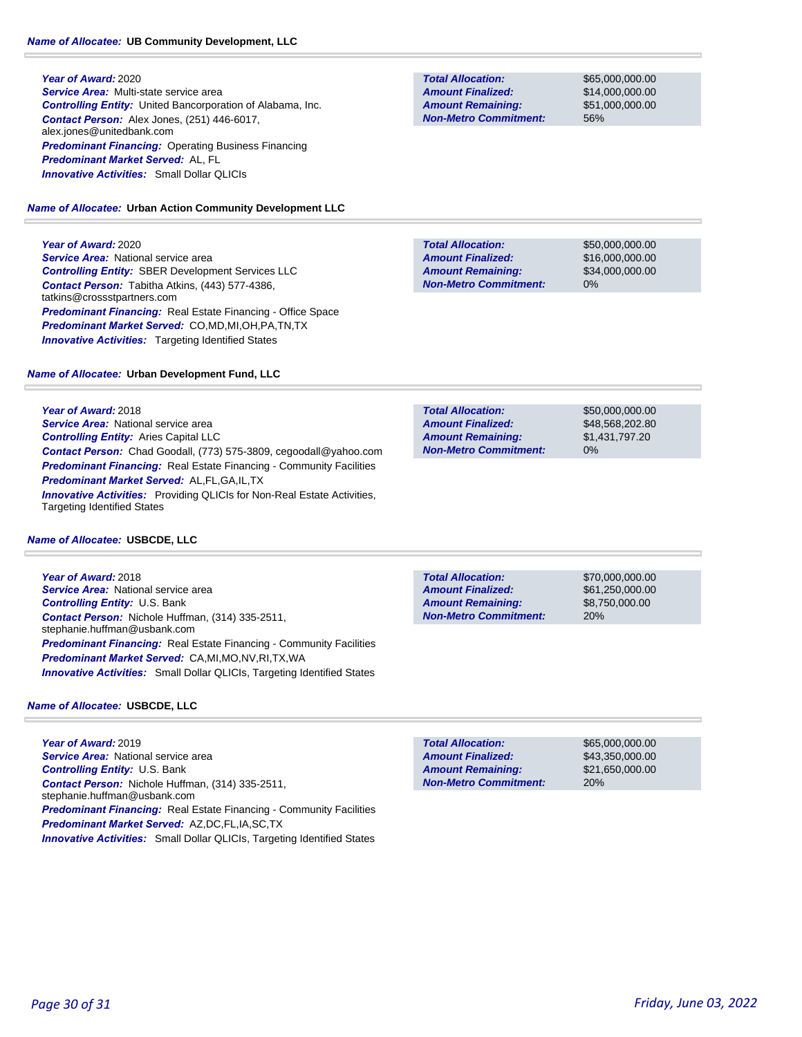## *Name of Allocatee:* **UB Community Development, LLC**

**Year of Award:** 2020 *Service Area:* Multi-state service area *Controlling Entity:* United Bancorporation of Alabama, Inc. *Contact Person:* Alex Jones, (251) 446-6017, alex.jones@unitedbank.com *Predominant Financing:* Operating Business Financing *Predominant Market Served:* AL, FL *Innovative Activities:* Small Dollar QLICIs

## *Name of Allocatee:* **Urban Action Community Development LLC**

**Year of Award:** 2020

**Service Area: National service area** *Controlling Entity:* SBER Development Services LLC *Contact Person:* Tabitha Atkins, (443) 577-4386, tatkins@crossstpartners.com *Predominant Financing:* Real Estate Financing - Office Space *Predominant Market Served:* CO,MD,MI,OH,PA,TN,TX **Innovative Activities:** Targeting Identified States

## *Name of Allocatee:* **Urban Development Fund, LLC**

**Year of Award:** 2018 **Service Area:** National service area *Controlling Entity:* Aries Capital LLC *Contact Person:* Chad Goodall, (773) 575-3809, cegoodall@yahoo.com **Predominant Financing:** Real Estate Financing - Community Facilities *Predominant Market Served:* AL,FL,GA,IL,TX *Innovative Activities:* Providing QLICIs for Non-Real Estate Activities, Targeting Identified States

## *Name of Allocatee:* **USBCDE, LLC**

**Year of Award:** 2018 **Service Area: National service area** *Controlling Entity:* U.S. Bank *Contact Person:* Nichole Huffman, (314) 335-2511, stephanie.huffman@usbank.com *Predominant Financing:* Real Estate Financing - Community Facilities *Predominant Market Served:* CA,MI,MO,NV,RI,TX,WA *Innovative Activities:* Small Dollar QLICIs, Targeting Identified States

# *Name of Allocatee:* **USBCDE, LLC**

**Year of Award:** 2019 **Service Area: National service area** *Controlling Entity:* U.S. Bank *Contact Person:* Nichole Huffman, (314) 335-2511, stephanie.huffman@usbank.com *Predominant Financing:* Real Estate Financing - Community Facilities *Predominant Market Served:* AZ,DC,FL,IA,SC,TX *Innovative Activities:* Small Dollar QLICIs, Targeting Identified States

**Total Allocation: Non-Metro Commitment: Amount Remaining: Amount Finalized:**

\$65,000,000.00 \$14,000,000.00 \$51,000,000.00 56%

\$50,000,000.00 \$16,000,000.00 \$34,000,000.00 0% **Total Allocation: Non-Metro Commitment: Amount Remaining: Amount Finalized:**

\$50,000,000.00 \$48,568,202.80 0% **Total Allocation: Non-Metro Commitment: Amount Remaining: Amount Finalized:**

**Total Allocation: Non-Metro Commitment: Amount Remaining: Amount Finalized:**

\$70,000,000.00 \$61,250,000.00 \$8,750,000.00 20%

\$65,000,000.00 \$43,350,000.00 \$21,650,000.00 20% **Total Allocation: Non-Metro Commitment: Amount Remaining: Amount Finalized:**

\$1,431,797.20